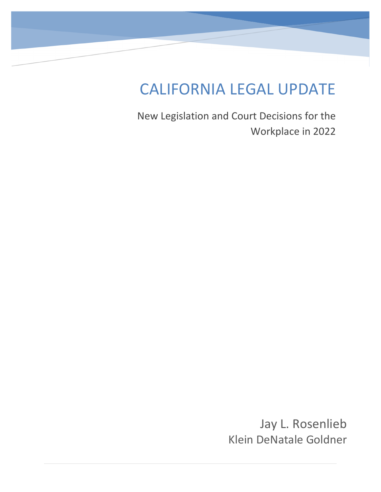## CALIFORNIA LEGAL UPDATE

**Jay L. Rosenlieb 661-328-5225 jlr@kleinlaw.com**

p. 661-395-1000 f. 661-326-0418 **www.kleinlaw.com**

New Legislation and Court Decisions for the Workplace in 2022

> Jay L. Rosenlieb Klein DeNatale Goldner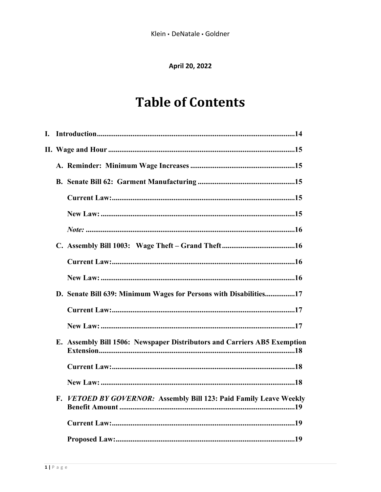#### April 20, 2022

### **Table of Contents**

|    | Note: 16                                                                 |
|----|--------------------------------------------------------------------------|
|    |                                                                          |
|    |                                                                          |
|    |                                                                          |
|    | D. Senate Bill 639: Minimum Wages for Persons with Disabilities17        |
|    |                                                                          |
|    |                                                                          |
|    | E. Assembly Bill 1506: Newspaper Distributors and Carriers AB5 Exemption |
|    |                                                                          |
|    |                                                                          |
| F. | VETOED BY GOVERNOR: Assembly Bill 123: Paid Family Leave Weekly          |
|    |                                                                          |
|    |                                                                          |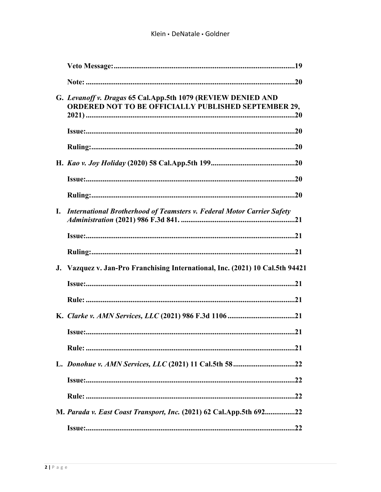|                | G. Levanoff v. Dragas 65 Cal.App.5th 1079 (REVIEW DENIED AND<br><b>ORDERED NOT TO BE OFFICIALLY PUBLISHED SEPTEMBER 29,</b> |
|----------------|-----------------------------------------------------------------------------------------------------------------------------|
|                |                                                                                                                             |
|                |                                                                                                                             |
|                |                                                                                                                             |
|                |                                                                                                                             |
|                |                                                                                                                             |
| $\mathbf{I}$ . | <b>International Brotherhood of Teamsters v. Federal Motor Carrier Safety</b>                                               |
|                |                                                                                                                             |
|                |                                                                                                                             |
|                | J. Vazquez v. Jan-Pro Franchising International, Inc. (2021) 10 Cal.5th 94421                                               |
|                |                                                                                                                             |
|                |                                                                                                                             |
|                |                                                                                                                             |
|                |                                                                                                                             |
|                |                                                                                                                             |
|                |                                                                                                                             |
|                |                                                                                                                             |
|                |                                                                                                                             |
|                | M. Parada v. East Coast Transport, Inc. (2021) 62 Cal.App.5th 69222                                                         |
|                |                                                                                                                             |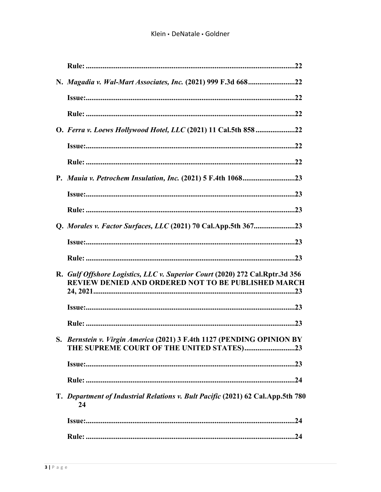| N. Magadia v. Wal-Mart Associates, Inc. (2021) 999 F.3d 66822                                                                       |  |
|-------------------------------------------------------------------------------------------------------------------------------------|--|
|                                                                                                                                     |  |
|                                                                                                                                     |  |
| O. Ferra v. Loews Hollywood Hotel, LLC (2021) 11 Cal.5th 858 22                                                                     |  |
|                                                                                                                                     |  |
|                                                                                                                                     |  |
|                                                                                                                                     |  |
|                                                                                                                                     |  |
|                                                                                                                                     |  |
| Q. Morales v. Factor Surfaces, LLC (2021) 70 Cal.App.5th 36723                                                                      |  |
|                                                                                                                                     |  |
|                                                                                                                                     |  |
| R. Gulf Offshore Logistics, LLC v. Superior Court (2020) 272 Cal.Rptr.3d 356<br>REVIEW DENIED AND ORDERED NOT TO BE PUBLISHED MARCH |  |
|                                                                                                                                     |  |
|                                                                                                                                     |  |
| S. Bernstein v. Virgin America (2021) 3 F.4th 1127 (PENDING OPINION BY<br>THE SUPREME COURT OF THE UNITED STATES)23                 |  |
|                                                                                                                                     |  |
|                                                                                                                                     |  |
| T. Department of Industrial Relations v. Bult Pacific (2021) 62 Cal.App.5th 780<br>24                                               |  |
|                                                                                                                                     |  |
|                                                                                                                                     |  |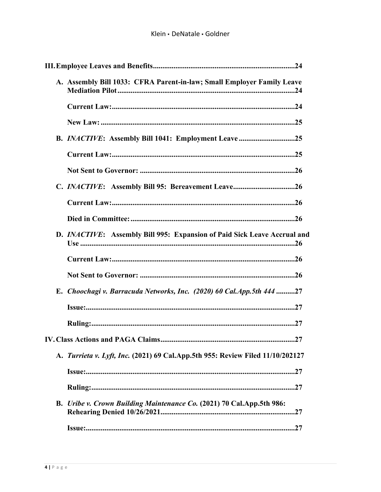|  | A. Assembly Bill 1033: CFRA Parent-in-law; Small Employer Family Leave                |
|--|---------------------------------------------------------------------------------------|
|  |                                                                                       |
|  |                                                                                       |
|  |                                                                                       |
|  |                                                                                       |
|  |                                                                                       |
|  | C. INACTIVE: Assembly Bill 95: Bereavement Leave26                                    |
|  |                                                                                       |
|  |                                                                                       |
|  | D. INACTIVE: Assembly Bill 995: Expansion of Paid Sick Leave Accrual and              |
|  |                                                                                       |
|  |                                                                                       |
|  | E. Choochagi v. Barracuda Networks, Inc. (2020) 60 Cal.App.5th 444 27                 |
|  |                                                                                       |
|  |                                                                                       |
|  | IV. Class Actions and PAGA Claims<br>27                                               |
|  | A. <i>Turrieta v. Lyft, Inc.</i> (2021) 69 Cal.App.5th 955: Review Filed 11/10/202127 |
|  |                                                                                       |
|  |                                                                                       |
|  | B. Uribe v. Crown Building Maintenance Co. (2021) 70 Cal.App.5th 986:                 |
|  |                                                                                       |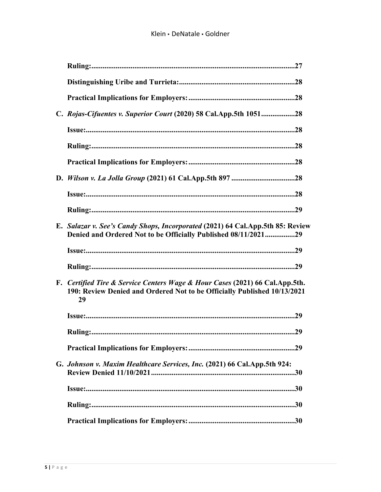| C. Rojas-Cifuentes v. Superior Court (2020) 58 Cal.App.5th 105128                                                                                              |  |
|----------------------------------------------------------------------------------------------------------------------------------------------------------------|--|
|                                                                                                                                                                |  |
|                                                                                                                                                                |  |
|                                                                                                                                                                |  |
|                                                                                                                                                                |  |
|                                                                                                                                                                |  |
|                                                                                                                                                                |  |
| E. Salazar v. See's Candy Shops, Incorporated (2021) 64 Cal.App.5th 85: Review<br>Denied and Ordered Not to be Officially Published 08/11/202129               |  |
|                                                                                                                                                                |  |
|                                                                                                                                                                |  |
| F. Certified Tire & Service Centers Wage & Hour Cases (2021) 66 Cal.App.5th.<br>190: Review Denied and Ordered Not to be Officially Published 10/13/2021<br>29 |  |
|                                                                                                                                                                |  |
|                                                                                                                                                                |  |
|                                                                                                                                                                |  |
| G. Johnson v. Maxim Healthcare Services, Inc. (2021) 66 Cal.App.5th 924:                                                                                       |  |
|                                                                                                                                                                |  |
|                                                                                                                                                                |  |
|                                                                                                                                                                |  |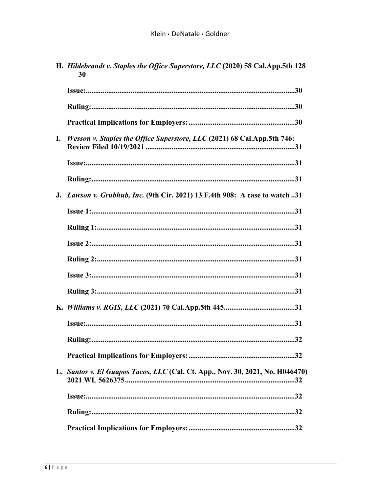|    | H. Hildebrandt v. Staples the Office Superstore, LLC (2020) 58 Cal.App.5th 128<br>30 |
|----|--------------------------------------------------------------------------------------|
|    | Is sue: 30                                                                           |
|    |                                                                                      |
|    |                                                                                      |
| Ι. | <i>Wesson v. Staples the Office Superstore, LLC</i> (2021) 68 Cal.App.5th 746:       |
|    |                                                                                      |
|    |                                                                                      |
|    | J. Lawson v. Grubhub, Inc. (9th Cir. 2021) 13 F.4th 908: A case to watch 31          |
|    |                                                                                      |
|    |                                                                                      |
|    |                                                                                      |
|    |                                                                                      |
|    |                                                                                      |
|    |                                                                                      |
|    |                                                                                      |
|    |                                                                                      |
|    | .32                                                                                  |
|    |                                                                                      |
|    | L. Santos v. El Guapos Tacos, LLC (Cal. Ct. App., Nov. 30, 2021, No. H046470)        |
|    |                                                                                      |
|    |                                                                                      |
|    |                                                                                      |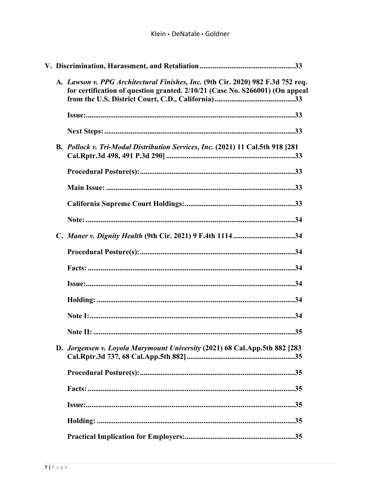|  | A. Lawson v. PPG Architectural Finishes, Inc. (9th Cir. 2020) 982 F.3d 752 req.<br>for certification of question granted. 2/10/21 (Case No. S266001) (On appeal |
|--|-----------------------------------------------------------------------------------------------------------------------------------------------------------------|
|  |                                                                                                                                                                 |
|  |                                                                                                                                                                 |
|  | B. Pollock v. Tri-Modal Distribution Services, Inc. (2021) 11 Cal.5th 918 [281                                                                                  |
|  |                                                                                                                                                                 |
|  |                                                                                                                                                                 |
|  |                                                                                                                                                                 |
|  |                                                                                                                                                                 |
|  |                                                                                                                                                                 |
|  |                                                                                                                                                                 |
|  |                                                                                                                                                                 |
|  |                                                                                                                                                                 |
|  |                                                                                                                                                                 |
|  |                                                                                                                                                                 |
|  |                                                                                                                                                                 |
|  | D. Jorgensen v. Loyola Marymount University (2021) 68 Cal.App.5th 882 [283                                                                                      |
|  |                                                                                                                                                                 |
|  |                                                                                                                                                                 |
|  |                                                                                                                                                                 |
|  |                                                                                                                                                                 |
|  |                                                                                                                                                                 |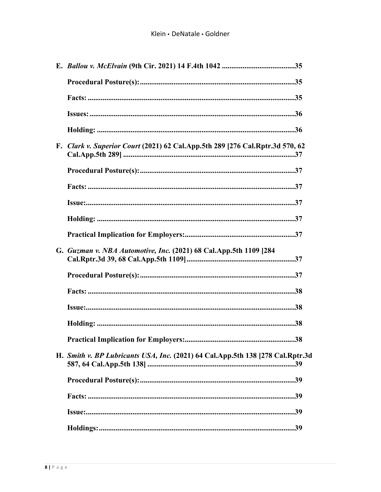| F. | Clark v. Superior Court (2021) 62 Cal.App.5th 289 [276 Cal.Rptr.3d 570, 62     |  |
|----|--------------------------------------------------------------------------------|--|
|    |                                                                                |  |
|    |                                                                                |  |
|    |                                                                                |  |
|    |                                                                                |  |
|    |                                                                                |  |
|    | G. Guzman v. NBA Automotive, Inc. (2021) 68 Cal. App. 5th 1109 [284            |  |
|    |                                                                                |  |
|    |                                                                                |  |
|    |                                                                                |  |
|    |                                                                                |  |
|    | 38<br><b>Practical Implication for Employers:</b>                              |  |
|    | H. Smith v. BP Lubricants USA, Inc. (2021) 64 Cal.App.5th 138 [278 Cal.Rptr.3d |  |
|    |                                                                                |  |
|    |                                                                                |  |
|    |                                                                                |  |
|    |                                                                                |  |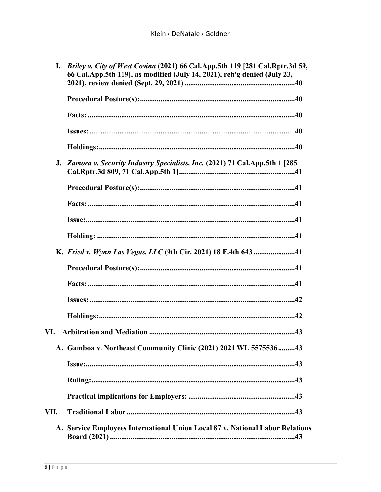| I.   | Briley v. City of West Covina (2021) 66 Cal.App.5th 119 [281 Cal.Rptr.3d 59,<br>66 Cal.App.5th 119], as modified (July 14, 2021), reh'g denied (July 23, |
|------|----------------------------------------------------------------------------------------------------------------------------------------------------------|
|      |                                                                                                                                                          |
|      |                                                                                                                                                          |
|      |                                                                                                                                                          |
|      |                                                                                                                                                          |
|      | J. Zamora v. Security Industry Specialists, Inc. (2021) 71 Cal.App.5th 1 [285                                                                            |
|      |                                                                                                                                                          |
|      |                                                                                                                                                          |
|      |                                                                                                                                                          |
|      |                                                                                                                                                          |
|      | K. Fried v. Wynn Las Vegas, LLC (9th Cir. 2021) 18 F.4th 643 41                                                                                          |
|      |                                                                                                                                                          |
|      |                                                                                                                                                          |
|      |                                                                                                                                                          |
|      |                                                                                                                                                          |
| VI.  |                                                                                                                                                          |
|      | A. Gamboa v. Northeast Community Clinic (2021) 2021 WL 557553643                                                                                         |
|      |                                                                                                                                                          |
|      |                                                                                                                                                          |
|      |                                                                                                                                                          |
| VII. |                                                                                                                                                          |
|      | A. Service Employees International Union Local 87 v. National Labor Relations                                                                            |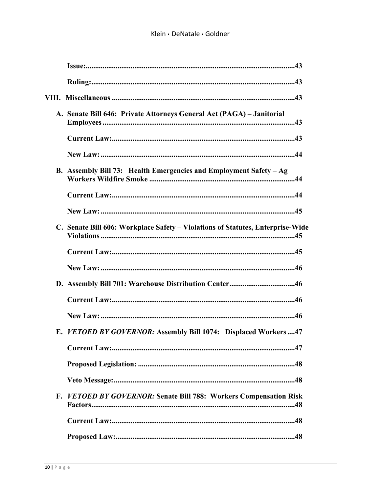|                | A. Senate Bill 646: Private Attorneys General Act (PAGA) - Janitorial          |  |
|----------------|--------------------------------------------------------------------------------|--|
|                |                                                                                |  |
|                |                                                                                |  |
|                | B. Assembly Bill 73: Health Emergencies and Employment Safety - Ag             |  |
|                |                                                                                |  |
|                |                                                                                |  |
|                | C. Senate Bill 606: Workplace Safety – Violations of Statutes, Enterprise-Wide |  |
|                |                                                                                |  |
|                |                                                                                |  |
|                |                                                                                |  |
|                |                                                                                |  |
|                |                                                                                |  |
|                | E. VETOED BY GOVERNOR: Assembly Bill 1074: Displaced Workers47                 |  |
|                |                                                                                |  |
|                |                                                                                |  |
|                |                                                                                |  |
| $\mathbf{F}$ . | VETOED BY GOVERNOR: Senate Bill 788: Workers Compensation Risk                 |  |
|                |                                                                                |  |
|                |                                                                                |  |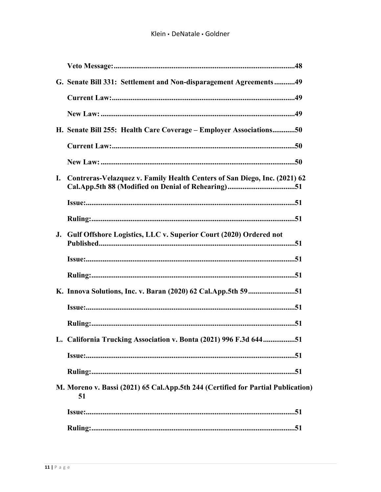|                | G. Senate Bill 331: Settlement and Non-disparagement Agreements49                      |
|----------------|----------------------------------------------------------------------------------------|
|                |                                                                                        |
|                |                                                                                        |
|                | H. Senate Bill 255: Health Care Coverage – Employer Associations50                     |
|                |                                                                                        |
|                |                                                                                        |
| $\mathbf{I}$ . | Contreras-Velazquez v. Family Health Centers of San Diego, Inc. (2021) 62              |
|                |                                                                                        |
|                |                                                                                        |
|                | J. Gulf Offshore Logistics, LLC v. Superior Court (2020) Ordered not                   |
|                |                                                                                        |
|                |                                                                                        |
|                | K. Innova Solutions, Inc. v. Baran (2020) 62 Cal.App.5th 5951                          |
|                |                                                                                        |
|                |                                                                                        |
|                | L. California Trucking Association v. Bonta (2021) 996 F.3d 644<br>.51                 |
|                |                                                                                        |
|                |                                                                                        |
|                | M. Moreno v. Bassi (2021) 65 Cal.App.5th 244 (Certified for Partial Publication)<br>51 |
|                |                                                                                        |
|                |                                                                                        |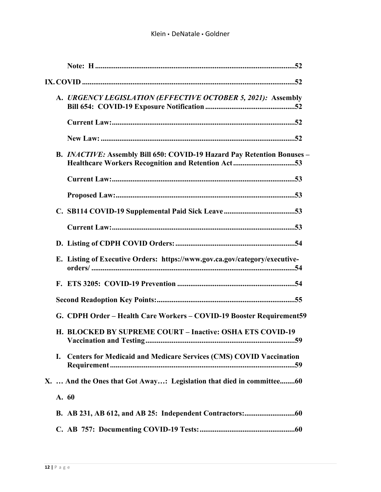|    | A. URGENCY LEGISLATION (EFFECTIVE OCTOBER 5, 2021): Assembly                               |
|----|--------------------------------------------------------------------------------------------|
|    |                                                                                            |
|    |                                                                                            |
|    | B. INACTIVE: Assembly Bill 650: COVID-19 Hazard Pay Retention Bonuses -                    |
|    |                                                                                            |
|    |                                                                                            |
|    |                                                                                            |
|    |                                                                                            |
|    |                                                                                            |
|    | E. Listing of Executive Orders: https://www.gov.ca.gov/category/executive-                 |
|    |                                                                                            |
|    |                                                                                            |
|    | G. CDPH Order - Health Care Workers - COVID-19 Booster Requirement59                       |
|    | H. BLOCKED BY SUPREME COURT – Inactive: OSHA ETS COVID-19<br>Vaccination and Testing<br>59 |
| I. | <b>Centers for Medicaid and Medicare Services (CMS) COVID Vaccination</b>                  |
|    | X.  And the Ones that Got Away: Legislation that died in committee60                       |
|    | A. 60                                                                                      |
|    |                                                                                            |
|    |                                                                                            |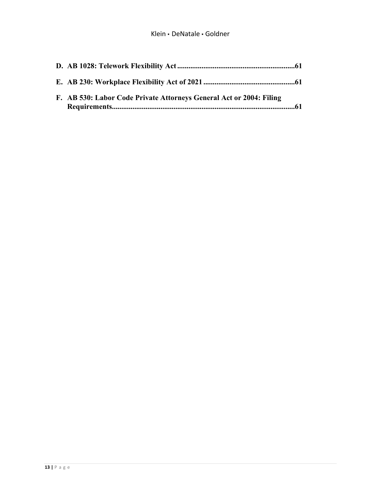| F. AB 530: Labor Code Private Attorneys General Act or 2004: Filing |
|---------------------------------------------------------------------|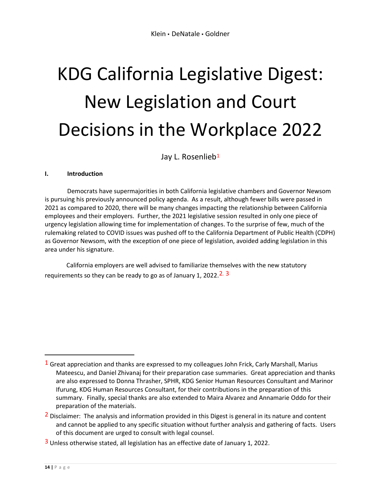# KDG California Legislative Digest: New Legislation and Court Decisions in the Workplace 2022

Jay L. Rosenlieb<sup>[1](#page-14-1)</sup>

#### <span id="page-14-0"></span>**I. Introduction**

Democrats have supermajorities in both California legislative chambers and Governor Newsom is pursuing his previously announced policy agenda. As a result, although fewer bills were passed in 2021 as compared to 2020, there will be many changes impacting the relationship between California employees and their employers. Further, the 2021 legislative session resulted in only one piece of urgency legislation allowing time for implementation of changes. To the surprise of few, much of the rulemaking related to COVID issues was pushed off to the California Department of Public Health (CDPH) as Governor Newsom, with the exception of one piece of legislation, avoided adding legislation in this area under his signature.

California employers are well advised to familiarize themselves with the new statutory requirements so they can be ready to go as of January 1, 2022.<sup>[2,](#page-14-2) [3](#page-14-3)</sup>

<span id="page-14-1"></span> $<sup>1</sup>$  Great appreciation and thanks are expressed to my colleagues John Frick, Carly Marshall, Marius</sup> Mateescu, and Daniel Zhivanaj for their preparation case summaries. Great appreciation and thanks are also expressed to Donna Thrasher, SPHR, KDG Senior Human Resources Consultant and Marinor Ifurung, KDG Human Resources Consultant, for their contributions in the preparation of this summary. Finally, special thanks are also extended to Maira Alvarez and Annamarie Oddo for their preparation of the materials.

<span id="page-14-2"></span><sup>&</sup>lt;sup>2</sup> Disclaimer: The analysis and information provided in this Digest is general in its nature and content and cannot be applied to any specific situation without further analysis and gathering of facts. Users of this document are urged to consult with legal counsel.

<span id="page-14-3"></span><sup>&</sup>lt;sup>3</sup> Unless otherwise stated, all legislation has an effective date of January 1, 2022.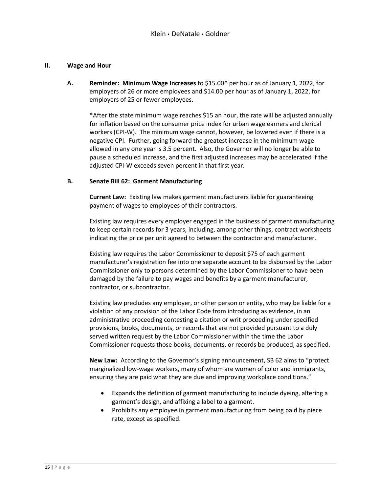#### <span id="page-15-1"></span><span id="page-15-0"></span>**II. Wage and Hour**

**A. Reminder: Minimum Wage Increases** to \$15.00\* per hour as of January 1, 2022, for employers of 26 or more employees and \$14.00 per hour as of January 1, 2022, for employers of 25 or fewer employees.

\*After the state minimum wage reaches \$15 an hour, the rate will be adjusted annually for inflation based on the consumer price index for urban wage earners and clerical workers (CPI-W). The minimum wage cannot, however, be lowered even if there is a negative CPI. Further, going forward the greatest increase in the minimum wage allowed in any one year is 3.5 percent. Also, the Governor will no longer be able to pause a scheduled increase, and the first adjusted increases may be accelerated if the adjusted CPI-W exceeds seven percent in that first year.

#### <span id="page-15-3"></span><span id="page-15-2"></span>**B. Senate Bill 62: Garment Manufacturing**

**Current Law:** Existing law makes garment manufacturers liable for guaranteeing payment of wages to employees of their contractors.

Existing law requires every employer engaged in the business of garment manufacturing to keep certain records for 3 years, including, among other things, contract worksheets indicating the price per unit agreed to between the contractor and manufacturer.

Existing law requires the Labor Commissioner to deposit \$75 of each garment manufacturer's registration fee into one separate account to be disbursed by the Labor Commissioner only to persons determined by the Labor Commissioner to have been damaged by the failure to pay wages and benefits by a garment manufacturer, contractor, or subcontractor.

Existing law precludes any employer, or other person or entity, who may be liable for a violation of any provision of the Labor Code from introducing as evidence, in an administrative proceeding contesting a citation or writ proceeding under specified provisions, books, documents, or records that are not provided pursuant to a duly served written request by the Labor Commissioner within the time the Labor Commissioner requests those books, documents, or records be produced, as specified.

<span id="page-15-4"></span>**New Law:** According to the Governor's signing announcement, SB 62 aims to "protect marginalized low-wage workers, many of whom are women of color and immigrants, ensuring they are paid what they are due and improving workplace conditions."

- Expands the definition of garment manufacturing to include dyeing, altering a garment's design, and affixing a label to a garment.
- Prohibits any employee in garment manufacturing from being paid by piece rate, except as specified.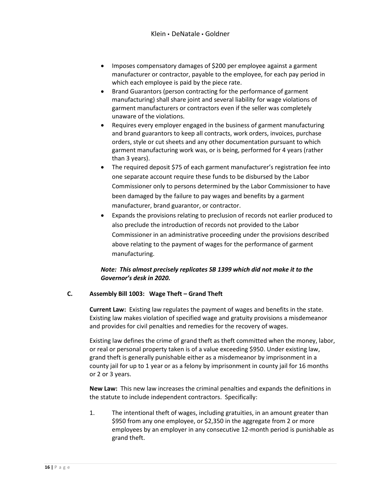- Imposes compensatory damages of \$200 per employee against a garment manufacturer or contractor, payable to the employee, for each pay period in which each employee is paid by the piece rate.
- Brand Guarantors (person contracting for the performance of garment manufacturing) shall share joint and several liability for wage violations of garment manufacturers or contractors even if the seller was completely unaware of the violations.
- Requires every employer engaged in the business of garment manufacturing and brand guarantors to keep all contracts, work orders, invoices, purchase orders, style or cut sheets and any other documentation pursuant to which garment manufacturing work was, or is being, performed for 4 years (rather than 3 years).
- The required deposit \$75 of each garment manufacturer's registration fee into one separate account require these funds to be disbursed by the Labor Commissioner only to persons determined by the Labor Commissioner to have been damaged by the failure to pay wages and benefits by a garment manufacturer, brand guarantor, or contractor.
- Expands the provisions relating to preclusion of records not earlier produced to also preclude the introduction of records not provided to the Labor Commissioner in an administrative proceeding under the provisions described above relating to the payment of wages for the performance of garment manufacturing.

#### *Note: This almost precisely replicates SB 1399 which did not make it to the Governor's desk in 2020.*

#### <span id="page-16-2"></span><span id="page-16-1"></span><span id="page-16-0"></span>**C. Assembly Bill 1003: Wage Theft – Grand Theft**

**Current Law:** Existing law regulates the payment of wages and benefits in the state. Existing law makes violation of specified wage and gratuity provisions a misdemeanor and provides for civil penalties and remedies for the recovery of wages.

Existing law defines the crime of grand theft as theft committed when the money, labor, or real or personal property taken is of a value exceeding \$950. Under existing law, grand theft is generally punishable either as a misdemeanor by imprisonment in a county jail for up to 1 year or as a felony by imprisonment in county jail for 16 months or 2 or 3 years.

<span id="page-16-3"></span>**New Law:** This new law increases the criminal penalties and expands the definitions in the statute to include independent contractors. Specifically:

1. The intentional theft of wages, including gratuities, in an amount greater than \$950 from any one employee, or \$2,350 in the aggregate from 2 or more employees by an employer in any consecutive 12-month period is punishable as grand theft.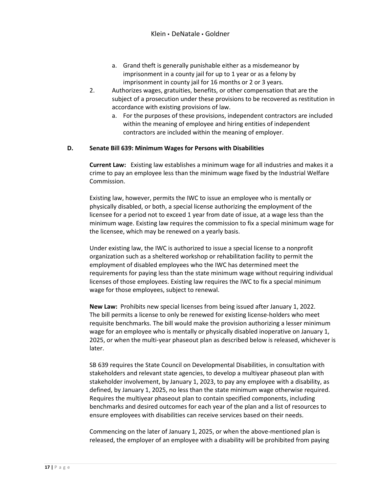- a. Grand theft is generally punishable either as a misdemeanor by imprisonment in a county jail for up to 1 year or as a felony by imprisonment in county jail for 16 months or 2 or 3 years.
- 2. Authorizes wages, gratuities, benefits, or other compensation that are the subject of a prosecution under these provisions to be recovered as restitution in accordance with existing provisions of law.
	- a. For the purposes of these provisions, independent contractors are included within the meaning of employee and hiring entities of independent contractors are included within the meaning of employer.

#### <span id="page-17-1"></span><span id="page-17-0"></span>**D. Senate Bill 639: Minimum Wages for Persons with Disabilities**

**Current Law:** Existing law establishes a minimum wage for all industries and makes it a crime to pay an employee less than the minimum wage fixed by the Industrial Welfare Commission.

Existing law, however, permits the IWC to issue an employee who is mentally or physically disabled, or both, a special license authorizing the employment of the licensee for a period not to exceed 1 year from date of issue, at a wage less than the minimum wage. Existing law requires the commission to fix a special minimum wage for the licensee, which may be renewed on a yearly basis.

Under existing law, the IWC is authorized to issue a special license to a nonprofit organization such as a sheltered workshop or rehabilitation facility to permit the employment of disabled employees who the IWC has determined meet the requirements for paying less than the state minimum wage without requiring individual licenses of those employees. Existing law requires the IWC to fix a special minimum wage for those employees, subject to renewal.

<span id="page-17-2"></span>**New Law:** Prohibits new special licenses from being issued after January 1, 2022. The bill permits a license to only be renewed for existing license-holders who meet requisite benchmarks. The bill would make the provision authorizing a lesser minimum wage for an employee who is mentally or physically disabled inoperative on January 1, 2025, or when the multi-year phaseout plan as described below is released, whichever is later.

SB 639 requires the State Council on Developmental Disabilities, in consultation with stakeholders and relevant state agencies, to develop a multiyear phaseout plan with stakeholder involvement, by January 1, 2023, to pay any employee with a disability, as defined, by January 1, 2025, no less than the state minimum wage otherwise required. Requires the multiyear phaseout plan to contain specified components, including benchmarks and desired outcomes for each year of the plan and a list of resources to ensure employees with disabilities can receive services based on their needs.

Commencing on the later of January 1, 2025, or when the above-mentioned plan is released, the employer of an employee with a disability will be prohibited from paying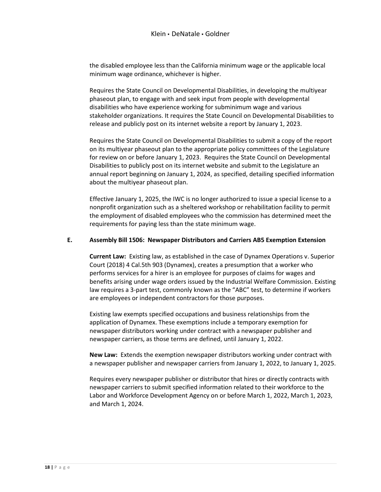the disabled employee less than the California minimum wage or the applicable local minimum wage ordinance, whichever is higher.

Requires the State Council on Developmental Disabilities, in developing the multiyear phaseout plan, to engage with and seek input from people with developmental disabilities who have experience working for subminimum wage and various stakeholder organizations. It requires the State Council on Developmental Disabilities to release and publicly post on its internet website a report by January 1, 2023.

Requires the State Council on Developmental Disabilities to submit a copy of the report on its multiyear phaseout plan to the appropriate policy committees of the Legislature for review on or before January 1, 2023. Requires the State Council on Developmental Disabilities to publicly post on its internet website and submit to the Legislature an annual report beginning on January 1, 2024, as specified, detailing specified information about the multiyear phaseout plan.

Effective January 1, 2025, the IWC is no longer authorized to issue a special license to a nonprofit organization such as a sheltered workshop or rehabilitation facility to permit the employment of disabled employees who the commission has determined meet the requirements for paying less than the state minimum wage.

#### <span id="page-18-1"></span><span id="page-18-0"></span>**E. Assembly Bill 1506: Newspaper Distributors and Carriers AB5 Exemption Extension**

**Current Law:** Existing law, as established in the case of Dynamex Operations v. Superior Court (2018) 4 Cal.5th 903 (Dynamex), creates a presumption that a worker who performs services for a hirer is an employee for purposes of claims for wages and benefits arising under wage orders issued by the Industrial Welfare Commission. Existing law requires a 3-part test, commonly known as the "ABC" test, to determine if workers are employees or independent contractors for those purposes.

Existing law exempts specified occupations and business relationships from the application of Dynamex. These exemptions include a temporary exemption for newspaper distributors working under contract with a newspaper publisher and newspaper carriers, as those terms are defined, until January 1, 2022.

<span id="page-18-2"></span>**New Law:** Extends the exemption newspaper distributors working under contract with a newspaper publisher and newspaper carriers from January 1, 2022, to January 1, 2025.

Requires every newspaper publisher or distributor that hires or directly contracts with newspaper carriers to submit specified information related to their workforce to the Labor and Workforce Development Agency on or before March 1, 2022, March 1, 2023, and March 1, 2024.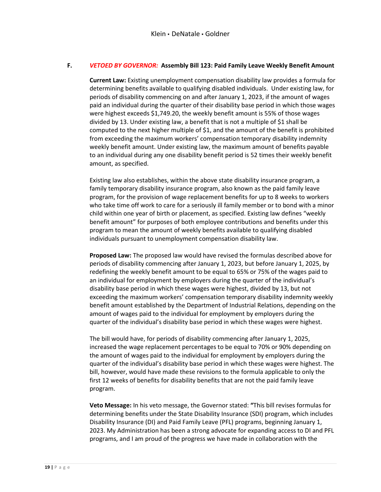#### <span id="page-19-1"></span><span id="page-19-0"></span>**F.** *VETOED BY GOVERNOR:* **Assembly Bill 123: Paid Family Leave Weekly Benefit Amount**

**Current Law:** Existing unemployment compensation disability law provides a formula for determining benefits available to qualifying disabled individuals. Under existing law, for periods of disability commencing on and after January 1, 2023, if the amount of wages paid an individual during the quarter of their disability base period in which those wages were highest exceeds \$1,749.20, the weekly benefit amount is 55% of those wages divided by 13. Under existing law, a benefit that is not a multiple of \$1 shall be computed to the next higher multiple of \$1, and the amount of the benefit is prohibited from exceeding the maximum workers' compensation temporary disability indemnity weekly benefit amount. Under existing law, the maximum amount of benefits payable to an individual during any one disability benefit period is 52 times their weekly benefit amount, as specified.

Existing law also establishes, within the above state disability insurance program, a family temporary disability insurance program, also known as the paid family leave program, for the provision of wage replacement benefits for up to 8 weeks to workers who take time off work to care for a seriously ill family member or to bond with a minor child within one year of birth or placement, as specified. Existing law defines "weekly benefit amount" for purposes of both employee contributions and benefits under this program to mean the amount of weekly benefits available to qualifying disabled individuals pursuant to unemployment compensation disability law.

<span id="page-19-2"></span>**Proposed Law:** The proposed law would have revised the formulas described above for periods of disability commencing after January 1, 2023, but before January 1, 2025, by redefining the weekly benefit amount to be equal to 65% or 75% of the wages paid to an individual for employment by employers during the quarter of the individual's disability base period in which these wages were highest, divided by 13, but not exceeding the maximum workers' compensation temporary disability indemnity weekly benefit amount established by the Department of Industrial Relations, depending on the amount of wages paid to the individual for employment by employers during the quarter of the individual's disability base period in which these wages were highest.

The bill would have, for periods of disability commencing after January 1, 2025, increased the wage replacement percentages to be equal to 70% or 90% depending on the amount of wages paid to the individual for employment by employers during the quarter of the individual's disability base period in which these wages were highest. The bill, however, would have made these revisions to the formula applicable to only the first 12 weeks of benefits for disability benefits that are not the paid family leave program.

<span id="page-19-3"></span>**Veto Message:** In his veto message, the Governor stated: **"**This bill revises formulas for determining benefits under the State Disability Insurance (SDI) program, which includes Disability Insurance (DI) and Paid Family Leave (PFL) programs, beginning January 1, 2023. My Administration has been a strong advocate for expanding access to DI and PFL programs, and I am proud of the progress we have made in collaboration with the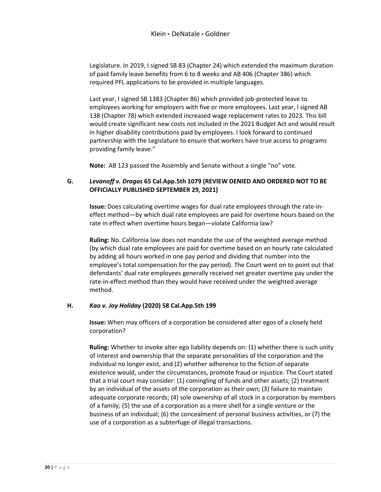Legislature. In 2019, I signed SB 83 (Chapter 24) which extended the maximum duration of paid family leave benefits from 6 to 8 weeks and AB 406 (Chapter 386) which required PFL applications to be provided in multiple languages.

Last year, I signed SB 1383 (Chapter 86) which provided job-protected leave to employees working for employers with five or more employees. Last year, I signed AB 138 (Chapter 78) which extended increased wage replacement rates to 2023. This bill would create significant new costs not included in the 2021 Budget Act and would result in higher disability contributions paid by employees. I look forward to continued partnership with the Legislature to ensure that workers have true access to programs providing family leave."

**Note:** AB 123 passed the Assembly and Senate without a single "no" vote.

#### <span id="page-20-2"></span><span id="page-20-1"></span><span id="page-20-0"></span>**G.** *Levanoff v. Dragas* **65 Cal.App.5th 1079 (REVIEW DENIED AND ORDERED NOT TO BE OFFICIALLY PUBLISHED SEPTEMBER 29, 2021)**

**Issue:** Does calculating overtime wages for dual rate employees through the rate-ineffect method—by which dual rate employees are paid for overtime hours based on the rate in effect when overtime hours began—violate California law?

<span id="page-20-3"></span>**Ruling:** No. California law does not mandate the use of the weighted average method (by which dual rate employees are paid for overtime based on an hourly rate calculated by adding all hours worked in one pay period and dividing that number into the employee's total compensation for the pay period). The Court went on to point out that defendants' dual rate employees generally received net greater overtime pay under the rate-in-effect method than they would have received under the weighted average method.

#### <span id="page-20-5"></span><span id="page-20-4"></span>**H.** *Kao v. Joy Holiday* **(2020) 58 Cal.App.5th 199**

**Issue:** When may officers of a corporation be considered alter egos of a closely held corporation?

<span id="page-20-6"></span>**Ruling:** Whether to invoke alter ego liability depends on: (1) whether there is such unity of interest and ownership that the separate personalities of the corporation and the individual no longer exist, and (2) whether adherence to the fiction of separate existence would, under the circumstances, promote fraud or injustice. The Court stated that a trial court may consider: (1) comingling of funds and other assets; (2) treatment by an individual of the assets of the corporation as their own; (3) failure to maintain adequate corporate records; (4) sole ownership of all stock in a corporation by members of a family; (5) the use of a corporation as a mere shell for a single venture or the business of an individual; (6) the concealment of personal business activities, or (7) the use of a corporation as a subterfuge of illegal transactions.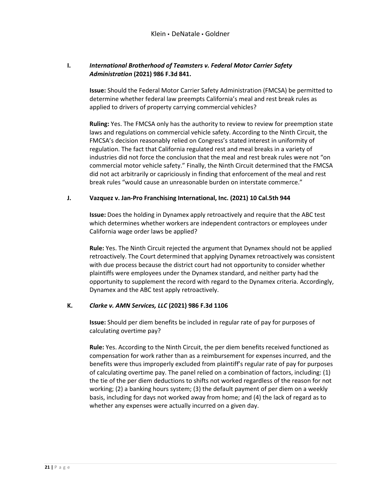#### <span id="page-21-1"></span><span id="page-21-0"></span>**I.** *International Brotherhood of Teamsters v. Federal Motor Carrier Safety Administration* **(2021) 986 F.3d 841.**

**Issue:** Should the Federal Motor Carrier Safety Administration (FMCSA) be permitted to determine whether federal law preempts California's meal and rest break rules as applied to drivers of property carrying commercial vehicles?

<span id="page-21-2"></span>**Ruling:** Yes. The FMCSA only has the authority to review to review for preemption state laws and regulations on commercial vehicle safety. According to the Ninth Circuit, the FMCSA's decision reasonably relied on Congress's stated interest in uniformity of regulation. The fact that California regulated rest and meal breaks in a variety of industries did not force the conclusion that the meal and rest break rules were not "on commercial motor vehicle safety." Finally, the Ninth Circuit determined that the FMCSA did not act arbitrarily or capriciously in finding that enforcement of the meal and rest break rules "would cause an unreasonable burden on interstate commerce."

#### <span id="page-21-4"></span><span id="page-21-3"></span>**J. Vazquez v. Jan-Pro Franchising International, Inc. (2021) 10 Cal.5th 944**

**Issue:** Does the holding in Dynamex apply retroactively and require that the ABC test which determines whether workers are independent contractors or employees under California wage order laws be applied?

<span id="page-21-5"></span>**Rule:** Yes. The Ninth Circuit rejected the argument that Dynamex should not be applied retroactively. The Court determined that applying Dynamex retroactively was consistent with due process because the district court had not opportunity to consider whether plaintiffs were employees under the Dynamex standard, and neither party had the opportunity to supplement the record with regard to the Dynamex criteria. Accordingly, Dynamex and the ABC test apply retroactively.

#### <span id="page-21-7"></span><span id="page-21-6"></span>**K.** *Clarke v. AMN Services, LLC* **(2021) 986 F.3d 1106**

**Issue:** Should per diem benefits be included in regular rate of pay for purposes of calculating overtime pay?

<span id="page-21-8"></span>**Rule:** Yes. According to the Ninth Circuit, the per diem benefits received functioned as compensation for work rather than as a reimbursement for expenses incurred, and the benefits were thus improperly excluded from plaintiff's regular rate of pay for purposes of calculating overtime pay. The panel relied on a combination of factors, including: (1) the tie of the per diem deductions to shifts not worked regardless of the reason for not working; (2) a banking hours system; (3) the default payment of per diem on a weekly basis, including for days not worked away from home; and (4) the lack of regard as to whether any expenses were actually incurred on a given day.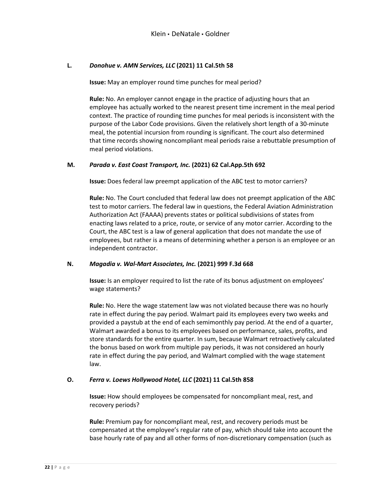#### <span id="page-22-2"></span><span id="page-22-1"></span><span id="page-22-0"></span>**L.** *Donohue v. AMN Services, LLC* **(2021) 11 Cal.5th 58**

**Issue:** May an employer round time punches for meal period?

**Rule:** No. An employer cannot engage in the practice of adjusting hours that an employee has actually worked to the nearest present time increment in the meal period context. The practice of rounding time punches for meal periods is inconsistent with the purpose of the Labor Code provisions. Given the relatively short length of a 30-minute meal, the potential incursion from rounding is significant. The court also determined that time records showing noncompliant meal periods raise a rebuttable presumption of meal period violations.

#### <span id="page-22-5"></span><span id="page-22-4"></span><span id="page-22-3"></span>**M.** *Parada v. East Coast Transport, Inc.* **(2021) 62 Cal.App.5th 692**

**Issue:** Does federal law preempt application of the ABC test to motor carriers?

**Rule:** No. The Court concluded that federal law does not preempt application of the ABC test to motor carriers. The federal law in questions, the Federal Aviation Administration Authorization Act (FAAAA) prevents states or political subdivisions of states from enacting laws related to a price, route, or service of any motor carrier. According to the Court, the ABC test is a law of general application that does not mandate the use of employees, but rather is a means of determining whether a person is an employee or an independent contractor.

#### <span id="page-22-7"></span><span id="page-22-6"></span>**N.** *Magadia v. Wal-Mart Associates, Inc.* **(2021) 999 F.3d 668**

**Issue:** Is an employer required to list the rate of its bonus adjustment on employees' wage statements?

<span id="page-22-8"></span>**Rule:** No. Here the wage statement law was not violated because there was no hourly rate in effect during the pay period. Walmart paid its employees every two weeks and provided a paystub at the end of each semimonthly pay period. At the end of a quarter, Walmart awarded a bonus to its employees based on performance, sales, profits, and store standards for the entire quarter. In sum, because Walmart retroactively calculated the bonus based on work from multiple pay periods, it was not considered an hourly rate in effect during the pay period, and Walmart complied with the wage statement law.

#### <span id="page-22-10"></span><span id="page-22-9"></span>**O.** *Ferra v. Loews Hollywood Hotel, LLC* **(2021) 11 Cal.5th 858**

**Issue:** How should employees be compensated for noncompliant meal, rest, and recovery periods?

<span id="page-22-11"></span>**Rule:** Premium pay for noncompliant meal, rest, and recovery periods must be compensated at the employee's regular rate of pay, which should take into account the base hourly rate of pay and all other forms of non-discretionary compensation (such as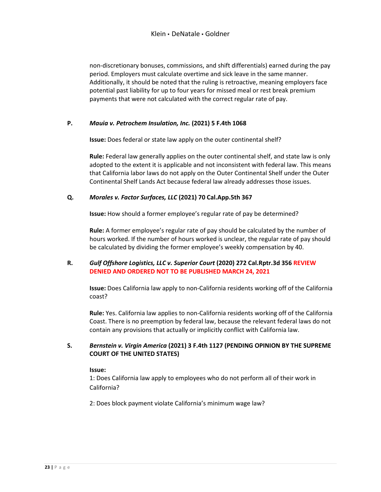non-discretionary bonuses, commissions, and shift differentials) earned during the pay period. Employers must calculate overtime and sick leave in the same manner. Additionally, it should be noted that the ruling is retroactive, meaning employers face potential past liability for up to four years for missed meal or rest break premium payments that were not calculated with the correct regular rate of pay.

#### <span id="page-23-2"></span><span id="page-23-1"></span><span id="page-23-0"></span>**P.** *Mauia v. Petrochem Insulation, Inc.* **(2021) 5 F.4th 1068**

**Issue:** Does federal or state law apply on the outer continental shelf?

**Rule:** Federal law generally applies on the outer continental shelf, and state law is only adopted to the extent it is applicable and not inconsistent with federal law. This means that California labor laws do not apply on the Outer Continental Shelf under the Outer Continental Shelf Lands Act because federal law already addresses those issues.

#### <span id="page-23-5"></span><span id="page-23-4"></span><span id="page-23-3"></span>**Q.** *Morales v. Factor Surfaces, LLC* **(2021) 70 Cal.App.5th 367**

**Issue:** How should a former employee's regular rate of pay be determined?

**Rule:** A former employee's regular rate of pay should be calculated by the number of hours worked. If the number of hours worked is unclear, the regular rate of pay should be calculated by dividing the former employee's weekly compensation by 40.

#### <span id="page-23-7"></span><span id="page-23-6"></span>**R.** *Gulf Offshore Logistics, LLC v. Superior Court* **(2020) 272 Cal.Rptr.3d 356 REVIEW DENIED AND ORDERED NOT TO BE PUBLISHED MARCH 24, 2021**

**Issue:** Does California law apply to non-California residents working off of the California coast?

**Rule:** Yes. California law applies to non-California residents working off of the California Coast. There is no preemption by federal law, because the relevant federal laws do not contain any provisions that actually or implicitly conflict with California law.

#### <span id="page-23-10"></span><span id="page-23-9"></span><span id="page-23-8"></span>**S.** *Bernstein v. Virgin America* **(2021) 3 F.4th 1127 (PENDING OPINION BY THE SUPREME COURT OF THE UNITED STATES)**

#### **Issue:**

1: Does California law apply to employees who do not perform all of their work in California?

2: Does block payment violate California's minimum wage law?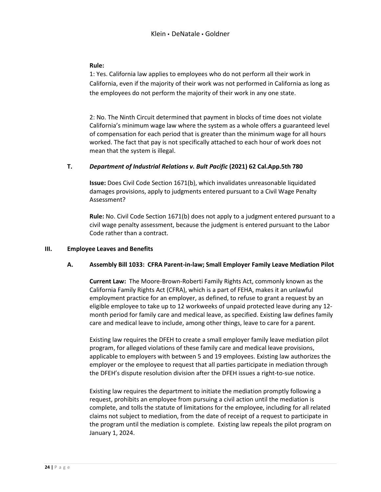#### <span id="page-24-0"></span>**Rule:**

1: Yes. California law applies to employees who do not perform all their work in California, even if the majority of their work was not performed in California as long as the employees do not perform the majority of their work in any one state.

2: No. The Ninth Circuit determined that payment in blocks of time does not violate California's minimum wage law where the system as a whole offers a guaranteed level of compensation for each period that is greater than the minimum wage for all hours worked. The fact that pay is not specifically attached to each hour of work does not mean that the system is illegal.

#### <span id="page-24-2"></span><span id="page-24-1"></span>**T.** *Department of Industrial Relations v. Bult Pacific* **(2021) 62 Cal.App.5th 780**

**Issue:** Does Civil Code Section 1671(b), which invalidates unreasonable liquidated damages provisions, apply to judgments entered pursuant to a Civil Wage Penalty Assessment?

**Rule:** No. Civil Code Section 1671(b) does not apply to a judgment entered pursuant to a civil wage penalty assessment, because the judgment is entered pursuant to the Labor Code rather than a contract.

#### <span id="page-24-5"></span><span id="page-24-4"></span><span id="page-24-3"></span>**III. Employee Leaves and Benefits**

#### <span id="page-24-6"></span>**A. Assembly Bill 1033: CFRA Parent-in-law; Small Employer Family Leave Mediation Pilot**

**Current Law:** The Moore-Brown-Roberti Family Rights Act, commonly known as the California Family Rights Act (CFRA), which is a part of FEHA, makes it an unlawful employment practice for an employer, as defined, to refuse to grant a request by an eligible employee to take up to 12 workweeks of unpaid protected leave during any 12 month period for family care and medical leave, as specified. Existing law defines family care and medical leave to include, among other things, leave to care for a parent.

Existing law requires the DFEH to create a small employer family leave mediation pilot program, for alleged violations of these family care and medical leave provisions, applicable to employers with between 5 and 19 employees. Existing law authorizes the employer or the employee to request that all parties participate in mediation through the DFEH's dispute resolution division after the DFEH issues a right-to-sue notice.

Existing law requires the department to initiate the mediation promptly following a request, prohibits an employee from pursuing a civil action until the mediation is complete, and tolls the statute of limitations for the employee, including for all related claims not subject to mediation, from the date of receipt of a request to participate in the program until the mediation is complete. Existing law repeals the pilot program on January 1, 2024.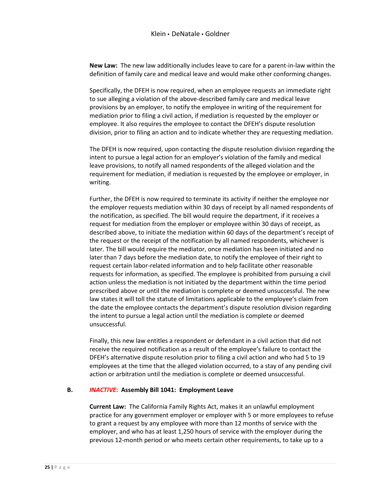<span id="page-25-0"></span>**New Law:** The new law additionally includes leave to care for a parent-in-law within the definition of family care and medical leave and would make other conforming changes.

Specifically, the DFEH is now required, when an employee requests an immediate right to sue alleging a violation of the above-described family care and medical leave provisions by an employer, to notify the employee in writing of the requirement for mediation prior to filing a civil action, if mediation is requested by the employer or employee. It also requires the employee to contact the DFEH's dispute resolution division, prior to filing an action and to indicate whether they are requesting mediation.

The DFEH is now required, upon contacting the dispute resolution division regarding the intent to pursue a legal action for an employer's violation of the family and medical leave provisions, to notify all named respondents of the alleged violation and the requirement for mediation, if mediation is requested by the employee or employer, in writing.

Further, the DFEH is now required to terminate its activity if neither the employee nor the employer requests mediation within 30 days of receipt by all named respondents of the notification, as specified. The bill would require the department, if it receives a request for mediation from the employer or employee within 30 days of receipt, as described above, to initiate the mediation within 60 days of the department's receipt of the request or the receipt of the notification by all named respondents, whichever is later. The bill would require the mediator, once mediation has been initiated and no later than 7 days before the mediation date, to notify the employee of their right to request certain labor-related information and to help facilitate other reasonable requests for information, as specified. The employee is prohibited from pursuing a civil action unless the mediation is not initiated by the department within the time period prescribed above or until the mediation is complete or deemed unsuccessful. The new law states it will toll the statute of limitations applicable to the employee's claim from the date the employee contacts the department's dispute resolution division regarding the intent to pursue a legal action until the mediation is complete or deemed unsuccessful.

Finally, this new law entitles a respondent or defendant in a civil action that did not receive the required notification as a result of the employee's failure to contact the DFEH's alternative dispute resolution prior to filing a civil action and who had 5 to 19 employees at the time that the alleged violation occurred, to a stay of any pending civil action or arbitration until the mediation is complete or deemed unsuccessful.

#### <span id="page-25-2"></span><span id="page-25-1"></span>**B.** *INACTIVE***: Assembly Bill 1041: Employment Leave**

**Current Law:** The California Family Rights Act, makes it an unlawful employment practice for any government employer or employer with 5 or more employees to refuse to grant a request by any employee with more than 12 months of service with the employer, and who has at least 1,250 hours of service with the employer during the previous 12-month period or who meets certain other requirements, to take up to a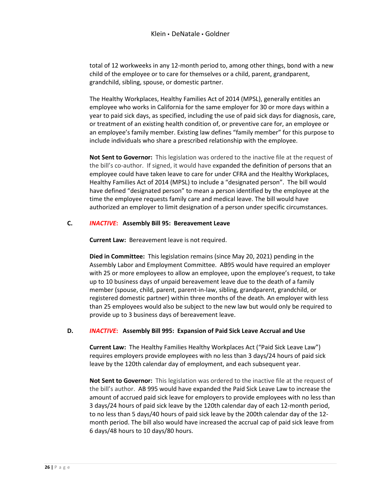total of 12 workweeks in any 12-month period to, among other things, bond with a new child of the employee or to care for themselves or a child, parent, grandparent, grandchild, sibling, spouse, or domestic partner.

The Healthy Workplaces, Healthy Families Act of 2014 (MPSL), generally entitles an employee who works in California for the same employer for 30 or more days within a year to paid sick days, as specified, including the use of paid sick days for diagnosis, care, or treatment of an existing health condition of, or preventive care for, an employee or an employee's family member. Existing law defines "family member" for this purpose to include individuals who share a prescribed relationship with the employee.

<span id="page-26-0"></span>**Not Sent to Governor:** This legislation was ordered to the inactive file at the request of the bill's co-author. If signed, it would have expanded the definition of persons that an employee could have taken leave to care for under CFRA and the Healthy Workplaces, Healthy Families Act of 2014 (MPSL) to include a "designated person". The bill would have defined "designated person" to mean a person identified by the employee at the time the employee requests family care and medical leave. The bill would have authorized an employer to limit designation of a person under specific circumstances.

#### <span id="page-26-3"></span><span id="page-26-2"></span><span id="page-26-1"></span>**C.** *INACTIVE***: Assembly Bill 95: Bereavement Leave**

**Current Law:** Bereavement leave is not required.

**Died in Committee:** This legislation remains (since May 20, 2021) pending in the Assembly Labor and Employment Committee. AB95 would have required an employer with 25 or more employees to allow an employee, upon the employee's request, to take up to 10 business days of unpaid bereavement leave due to the death of a family member (spouse, child, parent, parent-in-law, sibling, grandparent, grandchild, or registered domestic partner) within three months of the death. An employer with less than 25 employees would also be subject to the new law but would only be required to provide up to 3 business days of bereavement leave.

#### <span id="page-26-5"></span><span id="page-26-4"></span>**D.** *INACTIVE***: Assembly Bill 995: Expansion of Paid Sick Leave Accrual and Use**

**Current Law:** The Healthy Families Healthy Workplaces Act ("Paid Sick Leave Law") requires employers provide employees with no less than 3 days/24 hours of paid sick leave by the 120th calendar day of employment, and each subsequent year.

<span id="page-26-6"></span>**Not Sent to Governor:** This legislation was ordered to the inactive file at the request of the bill's author. AB 995 would have expanded the Paid Sick Leave Law to increase the amount of accrued paid sick leave for employers to provide employees with no less than 3 days/24 hours of paid sick leave by the 120th calendar day of each 12-month period, to no less than 5 days/40 hours of paid sick leave by the 200th calendar day of the 12 month period. The bill also would have increased the accrual cap of paid sick leave from 6 days/48 hours to 10 days/80 hours.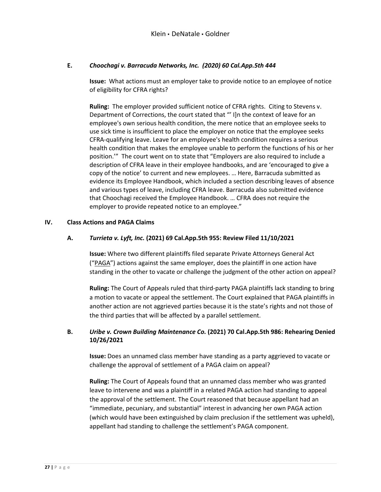#### <span id="page-27-1"></span><span id="page-27-0"></span>**E.** *Choochagi v. Barracuda Networks, Inc. (2020) 60 Cal.App.5th 444*

**Issue:** What actions must an employer take to provide notice to an employee of notice of eligibility for CFRA rights?

<span id="page-27-2"></span>**Ruling:** The employer provided sufficient notice of CFRA rights. Citing to Stevens v. Department of Corrections, the court stated that "' I]n the context of leave for an employee's own serious health condition, the mere notice that an employee seeks to use sick time is insufficient to place the employer on notice that the employee seeks CFRA-qualifying leave. Leave for an employee's health condition requires a serious health condition that makes the employee unable to perform the functions of his or her position.'" The court went on to state that "Employers are also required to include a description of CFRA leave in their employee handbooks, and are 'encouraged to give a copy of the notice' to current and new employees. … Here, Barracuda submitted as evidence its Employee Handbook, which included a section describing leaves of absence and various types of leave, including CFRA leave. Barracuda also submitted evidence that Choochagi received the Employee Handbook. … CFRA does not require the employer to provide repeated notice to an employee."

#### <span id="page-27-5"></span><span id="page-27-4"></span><span id="page-27-3"></span>**IV. Class Actions and PAGA Claims**

#### **A.** *Turrieta v. Lyft, Inc.* **(2021) 69 Cal.App.5th 955: Review Filed 11/10/2021**

**Issue:** Where two different plaintiffs filed separate Private Attorneys General Act  $("PAGA")$  actions against the same employer, does the plaintiff in one action have standing in the other to vacate or challenge the judgment of the other action on appeal?

<span id="page-27-6"></span>**Ruling:** The Court of Appeals ruled that third-party PAGA plaintiffs lack standing to bring a motion to vacate or appeal the settlement. The Court explained that PAGA plaintiffs in another action are not aggrieved parties because it is the state's rights and not those of the third parties that will be affected by a parallel settlement.

#### <span id="page-27-8"></span><span id="page-27-7"></span>**B.** *Uribe v. Crown Building Maintenance Co.* **(2021) 70 Cal.App.5th 986: Rehearing Denied 10/26/2021**

**Issue:** Does an unnamed class member have standing as a party aggrieved to vacate or challenge the approval of settlement of a PAGA claim on appeal?

<span id="page-27-9"></span>**Ruling:** The Court of Appeals found that an unnamed class member who was granted leave to intervene and was a plaintiff in a related PAGA action had standing to appeal the approval of the settlement. The Court reasoned that because appellant had an "immediate, pecuniary, and substantial" interest in advancing her own PAGA action (which would have been extinguished by claim preclusion if the settlement was upheld), appellant had standing to challenge the settlement's PAGA component.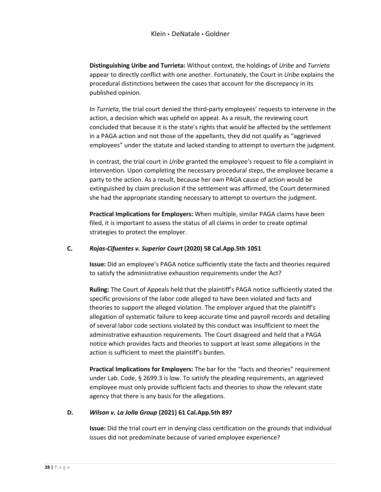<span id="page-28-0"></span>**Distinguishing Uribe and Turrieta:** Without context, the holdings of *Uribe* and *Turrieta* appear to directly conflict with one another. Fortunately, the Court in *Uribe* explains the procedural distinctions between the cases that account for the discrepancy in its published opinion.

In *Turrieta*, the trial court denied the third-party employees' requests to intervene in the action, a decision which was upheld on appeal. As a result, the reviewing court concluded that because it is the state's rights that would be affected by the settlement in a PAGA action and not those of the appellants, they did not qualify as "aggrieved employees" under the statute and lacked standing to attempt to overturn the judgment.

In contrast, the trial court in *Uribe* granted the employee's request to file a complaint in intervention. Upon completing the necessary procedural steps, the employee became a party to the action. As a result, because her own PAGA cause of action would be extinguished by claim preclusion if the settlement was affirmed, the Court determined she had the appropriate standing necessary to attempt to overturn the judgment.

**Practical Implications for Employers:** When multiple, similar PAGA claims have been filed, it is important to assess the status of all claims in order to create optimal strategies to protect the employer.

#### <span id="page-28-4"></span><span id="page-28-3"></span><span id="page-28-2"></span><span id="page-28-1"></span>**C.** *Rojas-Cifuentes v. Superior Court* **(2020) 58 Cal.App.5th 1051**

**Issue:** Did an employee's PAGA notice sufficiently state the facts and theories required to satisfy the administrative exhaustion requirements under the Act?

**Ruling:** The Court of Appeals held that the plaintiff's PAGA notice sufficiently stated the specific provisions of the labor code alleged to have been violated and facts and theories to support the alleged violation. The employer argued that the plaintiff's allegation of systematic failure to keep accurate time and payroll records and detailing of several labor code sections violated by this conduct was insufficient to meet the administrative exhaustion requirements. The Court disagreed and held that a PAGA notice which provides facts and theories to support at least some allegations in the action is sufficient to meet the plaintiff's burden.

<span id="page-28-5"></span>**Practical Implications for Employers:** The bar for the "facts and theories" requirement under Lab. Code, § 2699.3 is low. To satisfy the pleading requirements, an aggrieved employee must only provide sufficient facts and theories to show the relevant state agency that there is any basis for the allegations.

#### <span id="page-28-7"></span><span id="page-28-6"></span>**D.** *Wilson v. La Jolla Group* **(2021) 61 Cal.App.5th 897**

**Issue:** Did the trial court err in denying class certification on the grounds that individual issues did not predominate because of varied employee experience?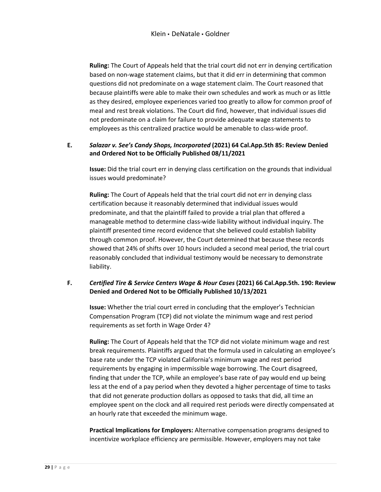<span id="page-29-0"></span>**Ruling:** The Court of Appeals held that the trial court did not err in denying certification based on non-wage statement claims, but that it did err in determining that common questions did not predominate on a wage statement claim. The Court reasoned that because plaintiffs were able to make their own schedules and work as much or as little as they desired, employee experiences varied too greatly to allow for common proof of meal and rest break violations. The Court did find, however, that individual issues did not predominate on a claim for failure to provide adequate wage statements to employees as this centralized practice would be amenable to class-wide proof.

#### <span id="page-29-2"></span><span id="page-29-1"></span>**E.** *Salazar v. See's Candy Shops, Incorporated* **(2021) 64 Cal.App.5th 85: Review Denied and Ordered Not to be Officially Published 08/11/2021**

**Issue:** Did the trial court err in denying class certification on the grounds that individual issues would predominate?

<span id="page-29-3"></span>**Ruling:** The Court of Appeals held that the trial court did not err in denying class certification because it reasonably determined that individual issues would predominate, and that the plaintiff failed to provide a trial plan that offered a manageable method to determine class-wide liability without individual inquiry. The plaintiff presented time record evidence that she believed could establish liability through common proof. However, the Court determined that because these records showed that 24% of shifts over 10 hours included a second meal period, the trial court reasonably concluded that individual testimony would be necessary to demonstrate liability.

#### <span id="page-29-5"></span><span id="page-29-4"></span>**F.** *Certified Tire & Service Centers Wage & Hour Cases* **(2021) 66 Cal.App.5th. 190: Review Denied and Ordered Not to be Officially Published 10/13/2021**

**Issue:** Whether the trial court erred in concluding that the employer's Technician Compensation Program (TCP) did not violate the minimum wage and rest period requirements as set forth in Wage Order 4?

<span id="page-29-6"></span>**Ruling:** The Court of Appeals held that the TCP did not violate minimum wage and rest break requirements. Plaintiffs argued that the formula used in calculating an employee's base rate under the TCP violated California's minimum wage and rest period requirements by engaging in impermissible wage borrowing. The Court disagreed, finding that under the TCP, while an employee's base rate of pay would end up being less at the end of a pay period when they devoted a higher percentage of time to tasks that did not generate production dollars as opposed to tasks that did, all time an employee spent on the clock and all required rest periods were directly compensated at an hourly rate that exceeded the minimum wage.

<span id="page-29-7"></span>**Practical Implications for Employers:** Alternative compensation programs designed to incentivize workplace efficiency are permissible. However, employers may not take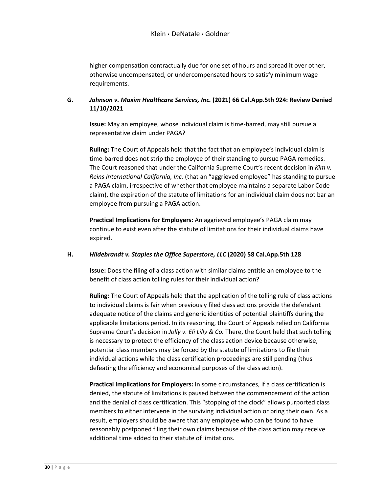higher compensation contractually due for one set of hours and spread it over other, otherwise uncompensated, or undercompensated hours to satisfy minimum wage requirements.

#### <span id="page-30-1"></span><span id="page-30-0"></span>**G.** *Johnson v. Maxim Healthcare Services, Inc.* **(2021) 66 Cal.App.5th 924: Review Denied 11/10/2021**

**Issue:** May an employee, whose individual claim is time-barred, may still pursue a representative claim under PAGA?

<span id="page-30-2"></span>**Ruling:** The Court of Appeals held that the fact that an employee's individual claim is time-barred does not strip the employee of their standing to pursue PAGA remedies. The Court reasoned that under the California Supreme Court's recent decision in *Kim v. Reins International California, Inc.* (that an "aggrieved employee" has standing to pursue a PAGA claim, irrespective of whether that employee maintains a separate Labor Code claim), the expiration of the statute of limitations for an individual claim does not bar an employee from pursuing a PAGA action.

**Practical Implications for Employers:** An aggrieved employee's PAGA claim may continue to exist even after the statute of limitations for their individual claims have expired.

#### <span id="page-30-6"></span><span id="page-30-5"></span><span id="page-30-4"></span><span id="page-30-3"></span>**H.** *Hildebrandt v. Staples the Office Superstore, LLC* **(2020) 58 Cal.App.5th 128**

**Issue:** Does the filing of a class action with similar claims entitle an employee to the benefit of class action tolling rules for their individual action?

**Ruling:** The Court of Appeals held that the application of the tolling rule of class actions to individual claims is fair when previously filed class actions provide the defendant adequate notice of the claims and generic identities of potential plaintiffs during the applicable limitations period. In its reasoning, the Court of Appeals relied on California Supreme Court's decision in *Jolly v. Eli Lilly & Co.* There, the Court held that such tolling is necessary to protect the efficiency of the class action device because otherwise, potential class members may be forced by the statute of limitations to file their individual actions while the class certification proceedings are still pending (thus defeating the efficiency and economical purposes of the class action).

<span id="page-30-7"></span>**Practical Implications for Employers:** In some circumstances, if a class certification is denied, the statute of limitations is paused between the commencement of the action and the denial of class certification. This "stopping of the clock" allows purported class members to either intervene in the surviving individual action or bring their own. As a result, employers should be aware that any employee who can be found to have reasonably postponed filing their own claims because of the class action may receive additional time added to their statute of limitations.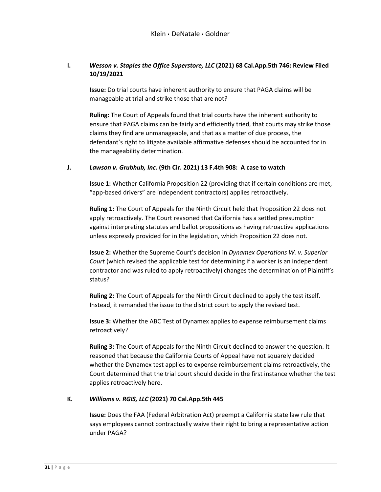#### <span id="page-31-1"></span><span id="page-31-0"></span>**I.** *Wesson v. Staples the Office Superstore, LLC* **(2021) 68 Cal.App.5th 746: Review Filed 10/19/2021**

**Issue:** Do trial courts have inherent authority to ensure that PAGA claims will be manageable at trial and strike those that are not?

<span id="page-31-2"></span>**Ruling:** The Court of Appeals found that trial courts have the inherent authority to ensure that PAGA claims can be fairly and efficiently tried, that courts may strike those claims they find are unmanageable, and that as a matter of due process, the defendant's right to litigate available affirmative defenses should be accounted for in the manageability determination.

#### <span id="page-31-5"></span><span id="page-31-4"></span><span id="page-31-3"></span>**J.** *Lawson v. Grubhub, Inc.* **(9th Cir. 2021) 13 F.4th 908: A case to watch**

**Issue 1:** Whether California Proposition 22 (providing that if certain conditions are met, "app-based drivers" are independent contractors) applies retroactively.

**Ruling 1:** The Court of Appeals for the Ninth Circuit held that Proposition 22 does not apply retroactively. The Court reasoned that California has a settled presumption against interpreting statutes and ballot propositions as having retroactive applications unless expressly provided for in the legislation, which Proposition 22 does not.

<span id="page-31-6"></span>**Issue 2:** Whether the Supreme Court's decision in *Dynamex Operations W. v. Superior Court* (which revised the applicable test for determining if a worker is an independent contractor and was ruled to apply retroactively) changes the determination of Plaintiff's status?

<span id="page-31-7"></span>**Ruling 2:** The Court of Appeals for the Ninth Circuit declined to apply the test itself. Instead, it remanded the issue to the district court to apply the revised test.

<span id="page-31-8"></span>**Issue 3:** Whether the ABC Test of Dynamex applies to expense reimbursement claims retroactively?

<span id="page-31-9"></span>**Ruling 3:** The Court of Appeals for the Ninth Circuit declined to answer the question. It reasoned that because the California Courts of Appeal have not squarely decided whether the Dynamex test applies to expense reimbursement claims retroactively, the Court determined that the trial court should decide in the first instance whether the test applies retroactively here.

#### <span id="page-31-11"></span><span id="page-31-10"></span>**K.** *Williams v. RGIS, LLC* **(2021) 70 Cal.App.5th 445**

**Issue:** Does the FAA (Federal Arbitration Act) preempt a California state law rule that says employees cannot contractually waive their right to bring a representative action under PAGA?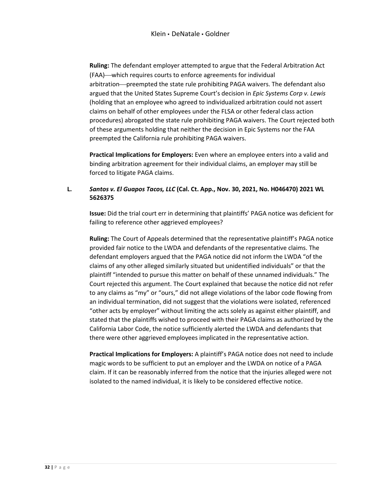<span id="page-32-0"></span>**Ruling:** The defendant employer attempted to argue that the Federal Arbitration Act (FAA)—which requires courts to enforce agreements for individual arbitration—preempted the state rule prohibiting PAGA waivers. The defendant also argued that the United States Supreme Court's decision in *Epic Systems Corp v. Lewis* (holding that an employee who agreed to individualized arbitration could not assert claims on behalf of other employees under the FLSA or other federal class action procedures) abrogated the state rule prohibiting PAGA waivers. The Court rejected both of these arguments holding that neither the decision in Epic Systems nor the FAA preempted the California rule prohibiting PAGA waivers.

**Practical Implications for Employers:** Even where an employee enters into a valid and binding arbitration agreement for their individual claims, an employer may still be forced to litigate PAGA claims.

#### <span id="page-32-3"></span><span id="page-32-2"></span><span id="page-32-1"></span>**L.** *Santos v. El Guapos Tacos, LLC* **(Cal. Ct. App., Nov. 30, 2021, No. H046470) 2021 WL 5626375**

**Issue:** Did the trial court err in determining that plaintiffs' PAGA notice was deficient for failing to reference other aggrieved employees?

<span id="page-32-4"></span>**Ruling:** The Court of Appeals determined that the representative plaintiff's PAGA notice provided fair notice to the LWDA and defendants of the representative claims. The defendant employers argued that the PAGA notice did not inform the LWDA "of the claims of any other alleged similarly situated but unidentified individuals" or that the plaintiff "intended to pursue this matter on behalf of these unnamed individuals." The Court rejected this argument. The Court explained that because the notice did not refer to any claims as "my" or "ours," did not allege violations of the labor code flowing from an individual termination, did not suggest that the violations were isolated, referenced "other acts by employer" without limiting the acts solely as against either plaintiff, and stated that the plaintiffs wished to proceed with their PAGA claims as authorized by the California Labor Code, the notice sufficiently alerted the LWDA and defendants that there were other aggrieved employees implicated in the representative action.

<span id="page-32-5"></span>**Practical Implications for Employers:** A plaintiff's PAGA notice does not need to include magic words to be sufficient to put an employer and the LWDA on notice of a PAGA claim. If it can be reasonably inferred from the notice that the injuries alleged were not isolated to the named individual, it is likely to be considered effective notice.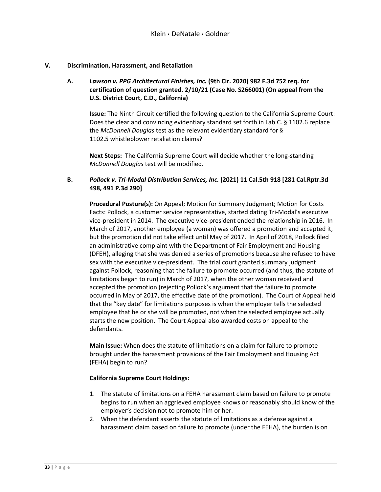#### <span id="page-33-1"></span><span id="page-33-0"></span>**V. Discrimination, Harassment, and Retaliation**

<span id="page-33-2"></span>**A***. Lawson v. PPG Architectural Finishes, Inc.* **(9th Cir. 2020) 982 F.3d 752 req. for certification of question granted. 2/10/21 (Case No. S266001) (On appeal from the U.S. District Court, C.D., California)** 

**Issue:** The Ninth Circuit certified the following question to the California Supreme Court: Does the clear and convincing evidentiary standard set forth in [Lab.C. § 1102.6](https://1.next.westlaw.com/Link/Document/FullText?findType=L&pubNum=1000215&cite=CALBS1102.6&originatingDoc=Ic8e04ed2481311e5a7b3fb9213abd1e0&refType=LQ&originationContext=document&transitionType=DocumentItem&ppcid=10bcab09a8644405b4744859ac4df536&contextData=(sc.Keycite)) replace the *McDonnell Douglas* test as the relevant evidentiary standard for [§](https://1.next.westlaw.com/Link/Document/FullText?findType=L&pubNum=1000215&cite=CALBS1102.5&originatingDoc=Ic8e04ed2481311e5a7b3fb9213abd1e0&refType=LQ&originationContext=document&transitionType=DocumentItem&ppcid=10bcab09a8644405b4744859ac4df536&contextData=(sc.Keycite))  [1102.5](https://1.next.westlaw.com/Link/Document/FullText?findType=L&pubNum=1000215&cite=CALBS1102.5&originatingDoc=Ic8e04ed2481311e5a7b3fb9213abd1e0&refType=LQ&originationContext=document&transitionType=DocumentItem&ppcid=10bcab09a8644405b4744859ac4df536&contextData=(sc.Keycite)) whistleblower retaliation claims?

**Next Steps:** The California Supreme Court will decide whether the long-standing *McDonnell Douglas* test will be modified.

#### <span id="page-33-5"></span><span id="page-33-4"></span><span id="page-33-3"></span>**B.** *Pollock v. Tri-Modal Distribution Services, Inc.* **(2021) 11 Cal.5th 918 [281 Cal.Rptr.3d 498, 491 P.3d 290]**

**Procedural Posture(s):** On Appeal; Motion for Summary Judgment; Motion for Costs Facts: Pollock, a customer service representative, started dating Tri-Modal's executive vice-president in 2014. The executive vice-president ended the relationship in 2016. In March of 2017, another employee (a woman) was offered a promotion and accepted it, but the promotion did not take effect until May of 2017. In April of 2018, Pollock filed an administrative complaint with the Department of Fair Employment and Housing (DFEH), alleging that she was denied a series of promotions because she refused to have sex with the executive vice-president. The trial court granted summary judgment against Pollock, reasoning that the failure to promote occurred (and thus, the statute of limitations began to run) in March of 2017, when the other woman received and accepted the promotion (rejecting Pollock's argument that the failure to promote occurred in May of 2017, the effective date of the promotion). The Court of Appeal held that the "key date" for limitations purposes is when the employer tells the selected employee that he or she will be promoted, not when the selected employee actually starts the new position. The Court Appeal also awarded costs on appeal to the defendants.

<span id="page-33-6"></span>**Main Issue:** When does the statute of limitations on a claim for failure to promote brought under the harassment provisions of the Fair Employment and Housing Act (FEHA) begin to run?

#### <span id="page-33-7"></span>**California Supreme Court Holdings:**

- 1. The statute of limitations on a FEHA harassment claim based on failure to promote begins to run when an aggrieved employee knows or reasonably should know of the employer's decision not to promote him or her.
- 2. When the defendant asserts the statute of limitations as a defense against a harassment claim based on failure to promote (under the FEHA), the burden is on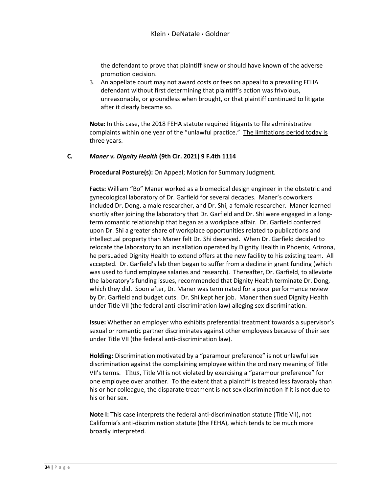the defendant to prove that plaintiff knew or should have known of the adverse promotion decision.

3. An appellate court may not award costs or fees on appeal to a prevailing FEHA defendant without first determining that plaintiff's action was frivolous, unreasonable, or groundless when brought, or that plaintiff continued to litigate after it clearly became so.

**Note:** In this case, the 2018 FEHA statute required litigants to file administrative complaints within one year of the "unlawful practice." The limitations period today is three years.

#### <span id="page-34-3"></span><span id="page-34-2"></span><span id="page-34-1"></span><span id="page-34-0"></span>**C.** *Maner v. Dignity Health* **(9th Cir. 2021) 9 F.4th 1114**

**Procedural Posture(s):** On Appeal; Motion for Summary Judgment.

**Facts:** William "Bo" Maner worked as a biomedical design engineer in the obstetric and gynecological laboratory of Dr. Garfield for several decades. Maner's coworkers included Dr. Dong, a male researcher, and Dr. Shi, a female researcher. Maner learned shortly after joining the laboratory that Dr. Garfield and Dr. Shi were engaged in a longterm romantic relationship that began as a workplace affair. Dr. Garfield conferred upon Dr. Shi a greater share of workplace opportunities related to publications and intellectual property than Maner felt Dr. Shi deserved. When Dr. Garfield decided to relocate the laboratory to an installation operated by Dignity Health in Phoenix, Arizona, he persuaded Dignity Health to extend offers at the new facility to his existing team. All accepted. Dr. Garfield's lab then began to suffer from a decline in grant funding (which was used to fund employee salaries and research). Thereafter, Dr. Garfield, to alleviate the laboratory's funding issues, recommended that Dignity Health terminate Dr. Dong, which they did. Soon after, Dr. Maner was terminated for a poor performance review by Dr. Garfield and budget cuts. Dr. Shi kept her job. Maner then sued Dignity Health under Title VII (the federal anti-discrimination law) alleging sex discrimination.

<span id="page-34-4"></span>**Issue:** Whether an employer who exhibits preferential treatment towards a supervisor's sexual or romantic partner discriminates against other employees because of their sex under Title VII (the federal anti-discrimination law).

<span id="page-34-5"></span>**Holding:** Discrimination motivated by a "paramour preference" is not unlawful sex discrimination against the complaining employee within the ordinary meaning of Title VII's terms. Thus, Title VII is not violated by exercising a "paramour preference" for one employee over another. To the extent that a plaintiff is treated less favorably than his or her colleague, the disparate treatment is not sex discrimination if it is not due to his or her sex.

<span id="page-34-6"></span>**Note I:** This case interprets the federal anti-discrimination statute (Title VII), not California's anti-discrimination statute (the FEHA), which tends to be much more broadly interpreted.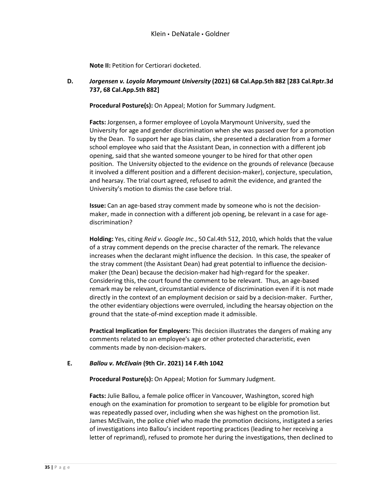**Note II:** Petition for Certiorari docketed.

#### <span id="page-35-2"></span><span id="page-35-1"></span><span id="page-35-0"></span>**D.** *Jorgensen v. Loyola Marymount University* **(2021) 68 Cal.App.5th 882 [283 Cal.Rptr.3d 737, 68 Cal.App.5th 882]**

**Procedural Posture(s):** On Appeal; Motion for Summary Judgment.

<span id="page-35-3"></span>**Facts:** Jorgensen, a former employee of Loyola Marymount University, sued the University for age and gender discrimination when she was passed over for a promotion by the Dean. To support her age bias claim, she presented a declaration from a former school employee who said that the Assistant Dean, in connection with a different job opening, said that she wanted someone younger to be hired for that other open position. The University objected to the evidence on the grounds of relevance (because it involved a different position and a different decision-maker), conjecture, speculation, and hearsay. The trial court agreed, refused to admit the evidence, and granted the University's motion to dismiss the case before trial.

<span id="page-35-4"></span>**Issue:** Can an age-based stray comment made by someone who is not the decisionmaker, made in connection with a different job opening, be relevant in a case for agediscrimination?

<span id="page-35-5"></span>**Holding:** Yes, citing *Reid v. Google Inc.*, 50 Cal.4th 512, 2010, which holds that the value of a stray comment depends on the precise character of the remark. The relevance increases when the declarant might influence the decision. In this case, the speaker of the stray comment (the Assistant Dean) had great potential to influence the decisionmaker (the Dean) because the decision-maker had high-regard for the speaker. Considering this, the court found the comment to be relevant. Thus, an age-based remark may be relevant, circumstantial evidence of discrimination even if it is not made directly in the context of an employment decision or said by a decision-maker. Further, the other evidentiary objections were overruled, including the hearsay objection on the ground that the state-of-mind exception made it admissible.

**Practical Implication for Employers:** This decision illustrates the dangers of making any comments related to an employee's age or other protected characteristic, even comments made by non-decision-makers.

#### <span id="page-35-9"></span><span id="page-35-8"></span><span id="page-35-7"></span><span id="page-35-6"></span>**E.** *Ballou v. McElvain* **(9th Cir. 2021) 14 F.4th 1042**

**Procedural Posture(s):** On Appeal; Motion for Summary Judgment.

**Facts:** Julie Ballou, a female police officer in Vancouver, Washington, scored high enough on the examination for promotion to sergeant to be eligible for promotion but was repeatedly passed over, including when she was highest on the promotion list. James McElvain, the police chief who made the promotion decisions, instigated a series of investigations into Ballou's incident reporting practices (leading to her receiving a letter of reprimand), refused to promote her during the investigations, then declined to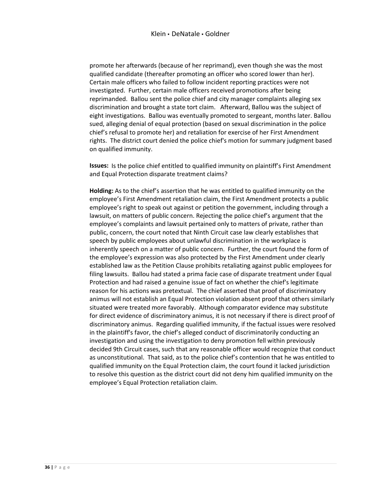promote her afterwards (because of her reprimand), even though she was the most qualified candidate (thereafter promoting an officer who scored lower than her). Certain male officers who failed to follow incident reporting practices were not investigated. Further, certain male officers received promotions after being reprimanded. Ballou sent the police chief and city manager complaints alleging sex discrimination and brought a state tort claim. Afterward, Ballou was the subject of eight investigations. Ballou was eventually promoted to sergeant, months later. Ballou sued, alleging denial of equal protection (based on sexual discrimination in the police chief's refusal to promote her) and retaliation for exercise of her First Amendment rights. The district court denied the police chief's motion for summary judgment based on qualified immunity.

<span id="page-36-0"></span>**Issues:** Is the police chief entitled to qualified immunity on plaintiff's First Amendment and Equal Protection disparate treatment claims?

<span id="page-36-1"></span>**Holding:** As to the chief's assertion that he was entitled to qualified immunity on the employee's First Amendment retaliation claim, the First Amendment protects a public employee's right to speak out against or petition the government, including through a lawsuit, on matters of public concern. Rejecting the police chief's argument that the employee's complaints and lawsuit pertained only to matters of private, rather than public, concern, the court noted that Ninth Circuit case law clearly establishes that speech by public employees about unlawful discrimination in the workplace is inherently speech on a matter of public concern. Further, the court found the form of the employee's expression was also protected by the First Amendment under clearly established law as the Petition Clause prohibits retaliating against public employees for filing lawsuits. Ballou had stated a prima facie case of disparate treatment under Equal Protection and had raised a genuine issue of fact on whether the chief's legitimate reason for his actions was pretextual. The chief asserted that proof of discriminatory animus will not establish an Equal Protection violation absent proof that others similarly situated were treated more favorably. Although comparator evidence may substitute for direct evidence of discriminatory animus, it is not necessary if there is direct proof of discriminatory animus. Regarding qualified immunity, if the factual issues were resolved in the plaintiff's favor, the chief's alleged conduct of discriminatorily conducting an investigation and using the investigation to deny promotion fell within previously decided 9th Circuit cases, such that any reasonable officer would recognize that conduct as unconstitutional. That said, as to the police chief's contention that he was entitled to qualified immunity on the Equal Protection claim, the court found it lacked jurisdiction to resolve this question as the district court did not deny him qualified immunity on the employee's Equal Protection retaliation claim.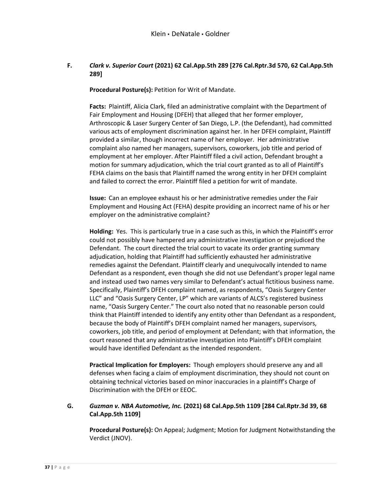#### <span id="page-37-1"></span><span id="page-37-0"></span>**F.** *Clark v. Superior Court* **(2021) 62 Cal.App.5th 289 [276 Cal.Rptr.3d 570, 62 Cal.App.5th 289]**

**Procedural Posture(s):** Petition for Writ of Mandate.

<span id="page-37-2"></span>**Facts:** Plaintiff, Alicia Clark, filed an administrative complaint with the Department of Fair Employment and Housing (DFEH) that alleged that her former employer, Arthroscopic & Laser Surgery Center of San Diego, L.P. (the Defendant), had committed various acts of employment discrimination against her. In her DFEH complaint, Plaintiff provided a similar, though incorrect name of her employer. Her administrative complaint also named her managers, supervisors, coworkers, job title and period of employment at her employer. After Plaintiff filed a civil action, Defendant brought a motion for summary adjudication, which the trial court granted as to all of Plaintiff's FEHA claims on the basis that Plaintiff named the wrong entity in her DFEH complaint and failed to correct the error. Plaintiff filed a petition for writ of mandate.

<span id="page-37-3"></span>**Issue:** Can an employee exhaust his or her administrative remedies under the Fair Employment and Housing Act (FEHA) despite providing an incorrect name of his or her employer on the administrative complaint?

<span id="page-37-4"></span>**Holding:** Yes. This is particularly true in a case such as this, in which the Plaintiff's error could not possibly have hampered any administrative investigation or prejudiced the Defendant. The court directed the trial court to vacate its order granting summary adjudication, holding that Plaintiff had sufficiently exhausted her administrative remedies against the Defendant. Plaintiff clearly and unequivocally intended to name Defendant as a respondent, even though she did not use Defendant's proper legal name and instead used two names very similar to Defendant's actual fictitious business name. Specifically, Plaintiff's DFEH complaint named, as respondents, "Oasis Surgery Center LLC" and "Oasis Surgery Center, LP" which are variants of ALCS's registered business name, "Oasis Surgery Center." The court also noted that no reasonable person could think that Plaintiff intended to identify any entity other than Defendant as a respondent, because the body of Plaintiff's DFEH complaint named her managers, supervisors, coworkers, job title, and period of employment at Defendant; with that information, the court reasoned that any administrative investigation into Plaintiff's DFEH complaint would have identified Defendant as the intended respondent.

<span id="page-37-5"></span>**Practical Implication for Employers:** Though employers should preserve any and all defenses when facing a claim of employment discrimination, they should not count on obtaining technical victories based on minor inaccuracies in a plaintiff's Charge of Discrimination with the DFEH or EEOC.

#### <span id="page-37-7"></span><span id="page-37-6"></span>**G.** *Guzman v. NBA Automotive, Inc.* **(2021) 68 Cal.App.5th 1109 [284 Cal.Rptr.3d 39, 68 Cal.App.5th 1109]**

**Procedural Posture(s):** On Appeal; Judgment; Motion for Judgment Notwithstanding the Verdict (JNOV).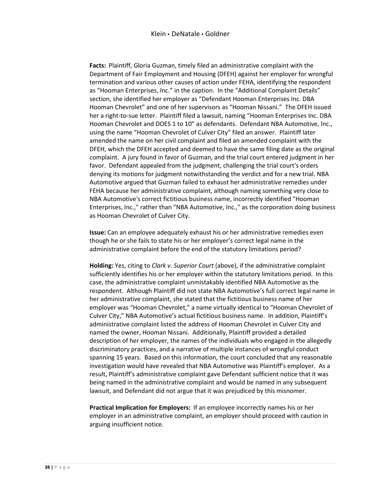<span id="page-38-0"></span>**Facts:** Plaintiff, Gloria Guzman, timely filed an administrative complaint with the Department of Fair Employment and Housing (DFEH) against her employer for wrongful termination and various other causes of action under FEHA, identifying the respondent as "Hooman Enterprises, Inc." in the caption. In the "Additional Complaint Details" section, she identified her employer as "Defendant Hooman Enterprises Inc. DBA Hooman Chevrolet" and one of her supervisors as "Hooman Nissani." The DFEH issued her a right-to-sue letter. Plaintiff filed a lawsuit, naming "Hooman Enterprises Inc. DBA Hooman Chevrolet and DOES 1 to 10" as defendants. Defendant NBA Automotive, Inc., using the name "Hooman Chevrolet of Culver City" filed an answer. Plaintiff later amended the name on her civil complaint and filed an amended complaint with the DFEH, which the DFEH accepted and deemed to have the same filing date as the original complaint. A jury found in favor of Guzman, and the trial court entered judgment in her favor. Defendant appealed from the judgment, challenging the trial court's orders denying its motions for judgment notwithstanding the verdict and for a new trial. NBA Automotive argued that Guzman failed to exhaust her administrative remedies under FEHA because her administrative complaint, although naming something very close to NBA Automotive's correct fictitious business name, incorrectly identified "Hooman Enterprises, Inc.," rather than "NBA Automotive, Inc.," as the corporation doing business as Hooman Chevrolet of Culver City.

<span id="page-38-1"></span>**Issue:** Can an employee adequately exhaust his or her administrative remedies even though he or she fails to state his or her employer's correct legal name in the administrative complaint before the end of the statutory limitations period?

<span id="page-38-2"></span>**Holding:** Yes, citing to *Clark v. Superior Court* (above), if the administrative complaint sufficiently identifies his or her employer within the statutory limitations period. In this case, the administrative complaint unmistakably identified NBA Automotive as the respondent. Although Plaintiff did not state NBA Automotive's full correct legal name in her administrative complaint, she stated that the fictitious business name of her employer was "Hooman Chevrolet," a name virtually identical to "Hooman Chevrolet of Culver City," NBA Automotive's actual fictitious business name. In addition, Plaintiff's administrative complaint listed the address of Hooman Chevrolet in Culver City and named the owner, Hooman Nissani. Additionally, Plaintiff provided a detailed description of her employer, the names of the individuals who engaged in the allegedly discriminatory practices, and a narrative of multiple instances of wrongful conduct spanning 15 years. Based on this information, the court concluded that any reasonable investigation would have revealed that NBA Automotive was Plaintiff's employer. As a result, Plaintiff's administrative complaint gave Defendant sufficient notice that it was being named in the administrative complaint and would be named in any subsequent lawsuit, and Defendant did not argue that it was prejudiced by this misnomer.

<span id="page-38-3"></span>**Practical Implication for Employers:** If an employee incorrectly names his or her employer in an administrative complaint, an employer should proceed with caution in arguing insufficient notice.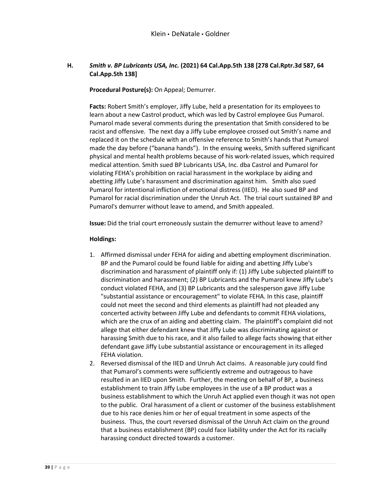#### <span id="page-39-1"></span><span id="page-39-0"></span>**H.** *Smith v. BP Lubricants USA, Inc.* **(2021) 64 Cal.App.5th 138 [278 Cal.Rptr.3d 587, 64 Cal.App.5th 138]**

**Procedural Posture(s):** On Appeal; Demurrer.

<span id="page-39-2"></span>**Facts:** Robert Smith's employer, Jiffy Lube, held a presentation for its employees to learn about a new Castrol product, which was led by Castrol employee Gus Pumarol. Pumarol made several comments during the presentation that Smith considered to be racist and offensive. The next day a Jiffy Lube employee crossed out Smith's name and replaced it on the schedule with an offensive reference to Smith's hands that Pumarol made the day before ("banana hands"). In the ensuing weeks, Smith suffered significant physical and mental health problems because of his work-related issues, which required medical attention. Smith sued BP Lubricants USA, Inc. dba Castrol and Pumarol for violating FEHA's prohibition on racial harassment in the workplace by aiding and abetting Jiffy Lube's harassment and discrimination against him. Smith also sued Pumarol for intentional infliction of emotional distress (IIED). He also sued BP and Pumarol for racial discrimination under the Unruh Act. The trial court sustained BP and Pumarol's demurrer without leave to amend, and Smith appealed.

<span id="page-39-4"></span><span id="page-39-3"></span>**Issue:** Did the trial court erroneously sustain the demurrer without leave to amend?

#### **Holdings:**

- 1. Affirmed dismissal under FEHA for aiding and abetting employment discrimination. BP and the Pumarol could be found liable for aiding and abetting Jiffy Lube's discrimination and harassment of plaintiff only if: (1) Jiffy Lube subjected plaintiff to discrimination and harassment; (2) BP Lubricants and the Pumarol knew Jiffy Lube's conduct violated FEHA, and (3) BP Lubricants and the salesperson gave Jiffy Lube "substantial assistance or encouragement" to violate FEHA. In this case, plaintiff could not meet the second and third elements as plaintiff had not pleaded any concerted activity between Jiffy Lube and defendants to commit FEHA violations, which are the crux of an aiding and abetting claim. The plaintiff's complaint did not allege that either defendant knew that Jiffy Lube was discriminating against or harassing Smith due to his race, and it also failed to allege facts showing that either defendant gave Jiffy Lube substantial assistance or encouragement in its alleged FEHA violation.
- 2. Reversed dismissal of the IIED and Unruh Act claims. A reasonable jury could find that Pumarol's comments were sufficiently extreme and outrageous to have resulted in an IIED upon Smith. Further, the meeting on behalf of BP, a business establishment to train Jiffy Lube employees in the use of a BP product was a business establishment to which the Unruh Act applied even though it was not open to the public. Oral harassment of a client or customer of the business establishment due to his race denies him or her of equal treatment in some aspects of the business. Thus, the court reversed dismissal of the Unruh Act claim on the ground that a business establishment (BP) could face liability under the Act for its racially harassing conduct directed towards a customer.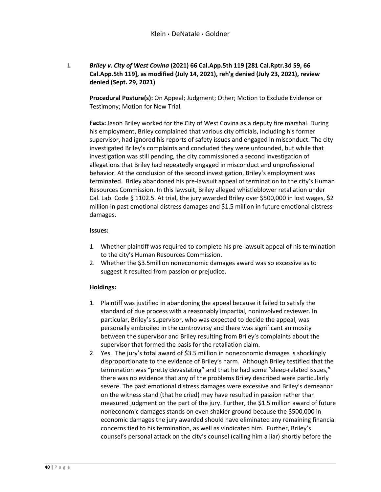<span id="page-40-1"></span><span id="page-40-0"></span>**I.** *Briley v. City of West Covina* **(2021) 66 Cal.App.5th 119 [281 Cal.Rptr.3d 59, 66 Cal.App.5th 119], as modified (July 14, 2021), reh'g denied (July 23, 2021), review denied (Sept. 29, 2021)**

**Procedural Posture(s):** On Appeal; Judgment; Other; Motion to Exclude Evidence or Testimony; Motion for New Trial.

<span id="page-40-2"></span>**Facts:** Jason Briley worked for the City of West Covina as a deputy fire marshal. During his employment, Briley complained that various city officials, including his former supervisor, had ignored his reports of safety issues and engaged in misconduct. The city investigated Briley's complaints and concluded they were unfounded, but while that investigation was still pending, the city commissioned a second investigation of allegations that Briley had repeatedly engaged in misconduct and unprofessional behavior. At the conclusion of the second investigation, Briley's employment was terminated. Briley abandoned his pre-lawsuit appeal of termination to the city's Human Resources Commission. In this lawsuit, Briley alleged whistleblower retaliation under Cal. Lab. Code § 1102.5. At trial, the jury awarded Briley over \$500,000 in lost wages, \$2 million in past emotional distress damages and \$1.5 million in future emotional distress damages.

#### <span id="page-40-3"></span>**Issues:**

- 1. Whether plaintiff was required to complete his pre-lawsuit appeal of his termination to the city's Human Resources Commission.
- 2. Whether the \$3.5million noneconomic damages award was so excessive as to suggest it resulted from passion or prejudice.

#### <span id="page-40-4"></span>**Holdings:**

- 1. Plaintiff was justified in abandoning the appeal because it failed to satisfy the standard of due process with a reasonably impartial, noninvolved reviewer. In particular, Briley's supervisor, who was expected to decide the appeal, was personally embroiled in the controversy and there was significant animosity between the supervisor and Briley resulting from Briley's complaints about the supervisor that formed the basis for the retaliation claim.
- 2. Yes. The jury's total award of \$3.5 million in noneconomic damages is shockingly disproportionate to the evidence of Briley's harm. Although Briley testified that the termination was "pretty devastating" and that he had some "sleep-related issues," there was no evidence that any of the problems Briley described were particularly severe. The past emotional distress damages were excessive and Briley's demeanor on the witness stand (that he cried) may have resulted in passion rather than measured judgment on the part of the jury. Further, the \$1.5 million award of future noneconomic damages stands on even shakier ground because the \$500,000 in economic damages the jury awarded should have eliminated any remaining financial concerns tied to his termination, as well as vindicated him. Further, Briley's counsel's personal attack on the city's counsel (calling him a liar) shortly before the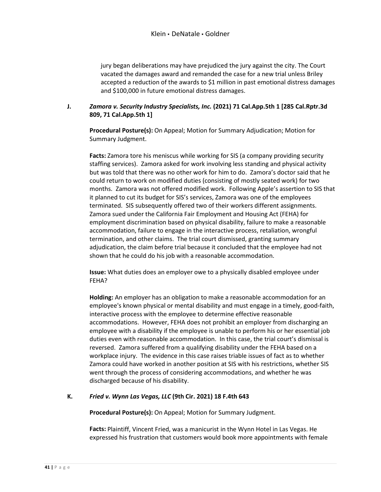jury began deliberations may have prejudiced the jury against the city. The Court vacated the damages award and remanded the case for a new trial unless Briley accepted a reduction of the awards to \$1 million in past emotional distress damages and \$100,000 in future emotional distress damages.

#### <span id="page-41-1"></span><span id="page-41-0"></span>**J.** *Zamora v. Security Industry Specialists, Inc.* **(2021) 71 Cal.App.5th 1 [285 Cal.Rptr.3d 809, 71 Cal.App.5th 1]**

**Procedural Posture(s):** On Appeal; Motion for Summary Adjudication; Motion for Summary Judgment.

<span id="page-41-2"></span>**Facts:** Zamora tore his meniscus while working for SIS (a company providing security staffing services). Zamora asked for work involving less standing and physical activity but was told that there was no other work for him to do. Zamora's doctor said that he could return to work on modified duties (consisting of mostly seated work) for two months. Zamora was not offered modified work. Following Apple's assertion to SIS that it planned to cut its budget for SIS's services, Zamora was one of the employees terminated. SIS subsequently offered two of their workers different assignments. Zamora sued under the California Fair Employment and Housing Act (FEHA) for employment discrimination based on physical disability, failure to make a reasonable accommodation, failure to engage in the interactive process, retaliation, wrongful termination, and other claims. The trial court dismissed, granting summary adjudication, the claim before trial because it concluded that the employee had not shown that he could do his job with a reasonable accommodation.

<span id="page-41-3"></span>**Issue:** What duties does an employer owe to a physically disabled employee under FEHA?

<span id="page-41-4"></span>**Holding:** An employer has an obligation to make a reasonable accommodation for an employee's known physical or mental disability and must engage in a timely, good-faith, interactive process with the employee to determine effective reasonable accommodations. However, FEHA does not prohibit an employer from discharging an employee with a disability if the employee is unable to perform his or her essential job duties even with reasonable accommodation. In this case, the trial court's dismissal is reversed. Zamora suffered from a qualifying disability under the FEHA based on a workplace injury. The evidence in this case raises triable issues of fact as to whether Zamora could have worked in another position at SIS with his restrictions, whether SIS went through the process of considering accommodations, and whether he was discharged because of his disability.

#### <span id="page-41-7"></span><span id="page-41-6"></span><span id="page-41-5"></span>**K.** *Fried v. Wynn Las Vegas, LLC* **(9th Cir. 2021) 18 F.4th 643**

**Procedural Posture(s):** On Appeal; Motion for Summary Judgment.

**Facts:** Plaintiff, Vincent Fried, was a manicurist in the Wynn Hotel in Las Vegas. He expressed his frustration that customers would book more appointments with female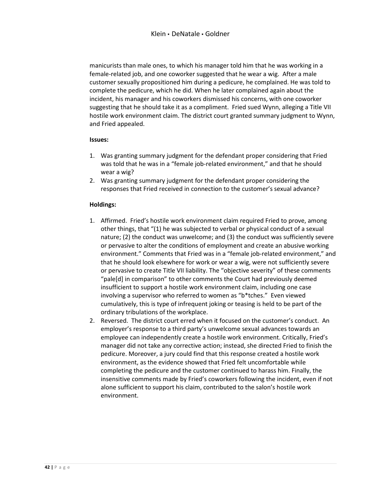manicurists than male ones, to which his manager told him that he was working in a female-related job, and one coworker suggested that he wear a wig. After a male customer sexually propositioned him during a pedicure, he complained. He was told to complete the pedicure, which he did. When he later complained again about the incident, his manager and his coworkers dismissed his concerns, with one coworker suggesting that he should take it as a compliment. Fried sued Wynn, alleging a Title VII hostile work environment claim. The district court granted summary judgment to Wynn, and Fried appealed.

#### <span id="page-42-0"></span>**Issues:**

- 1. Was granting summary judgment for the defendant proper considering that Fried was told that he was in a "female job-related environment," and that he should wear a wig?
- 2. Was granting summary judgment for the defendant proper considering the responses that Fried received in connection to the customer's sexual advance?

#### <span id="page-42-1"></span>**Holdings:**

- 1. Affirmed. Fried's hostile work environment claim required Fried to prove, among other things, that "(1) he was subjected to verbal or physical conduct of a sexual nature; (2) the conduct was unwelcome; and (3) the conduct was sufficiently severe or pervasive to alter the conditions of employment and create an abusive working environment." Comments that Fried was in a "female job-related environment," and that he should look elsewhere for work or wear a wig, were not sufficiently severe or pervasive to create Title VII liability. The "objective severity" of these comments "pale[d] in comparison" to other comments the Court had previously deemed insufficient to support a hostile work environment claim, including one case involving a supervisor who referred to women as "b\*tches." Even viewed cumulatively, this is type of infrequent joking or teasing is held to be part of the ordinary tribulations of the workplace.
- 2. Reversed. The district court erred when it focused on the customer's conduct. An employer's response to a third party's unwelcome sexual advances towards an employee can independently create a hostile work environment. Critically, Fried's manager did not take any corrective action; instead, she directed Fried to finish the pedicure. Moreover, a jury could find that this response created a hostile work environment, as the evidence showed that Fried felt uncomfortable while completing the pedicure and the customer continued to harass him. Finally, the insensitive comments made by Fried's coworkers following the incident, even if not alone sufficient to support his claim, contributed to the salon's hostile work environment.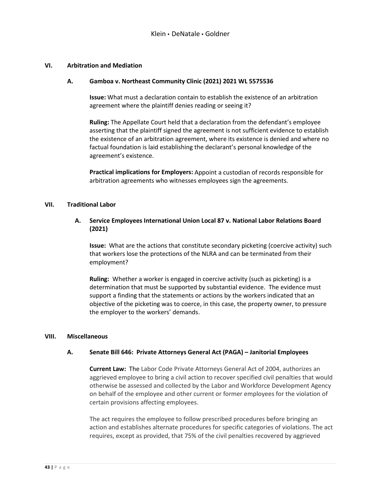#### <span id="page-43-2"></span><span id="page-43-1"></span><span id="page-43-0"></span>**VI. Arbitration and Mediation**

#### <span id="page-43-3"></span>**A. Gamboa v. Northeast Community Clinic (2021) 2021 WL 5575536**

**Issue:** What must a declaration contain to establish the existence of an arbitration agreement where the plaintiff denies reading or seeing it?

**Ruling:** The Appellate Court held that a declaration from the defendant's employee asserting that the plaintiff signed the agreement is not sufficient evidence to establish the existence of an arbitration agreement, where its existence is denied and where no factual foundation is laid establishing the declarant's personal knowledge of the agreement's existence.

**Practical implications for Employers:** Appoint a custodian of records responsible for arbitration agreements who witnesses employees sign the agreements.

#### <span id="page-43-5"></span><span id="page-43-4"></span>**VII. Traditional Labor**

#### <span id="page-43-7"></span><span id="page-43-6"></span> **A. Service Employees International Union Local 87 v. National Labor Relations Board (2021)**

**Issue:** What are the actions that constitute secondary picketing (coercive activity) such that workers lose the protections of the NLRA and can be terminated from their employment?

<span id="page-43-8"></span>**Ruling:** Whether a worker is engaged in coercive activity (such as picketing) is a determination that must be supported by substantial evidence. The evidence must support a finding that the statements or actions by the workers indicated that an objective of the picketing was to coerce, in this case, the property owner, to pressure the employer to the workers' demands.

#### <span id="page-43-10"></span><span id="page-43-9"></span>**VIII. Miscellaneous**

#### <span id="page-43-11"></span>**A. Senate Bill 646: Private Attorneys General Act (PAGA) – Janitorial Employees**

**Current Law:** The Labor Code Private Attorneys General Act of 2004, authorizes an aggrieved employee to bring a civil action to recover specified civil penalties that would otherwise be assessed and collected by the Labor and Workforce Development Agency on behalf of the employee and other current or former employees for the violation of certain provisions affecting employees.

The act requires the employee to follow prescribed procedures before bringing an action and establishes alternate procedures for specific categories of violations. The act requires, except as provided, that 75% of the civil penalties recovered by aggrieved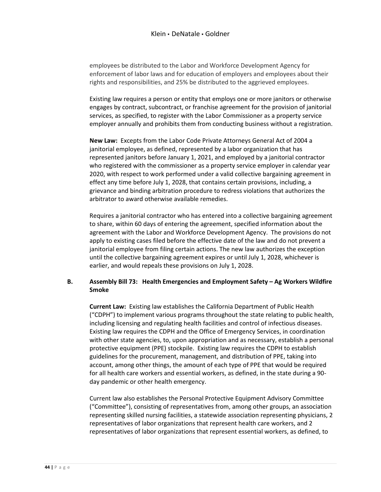employees be distributed to the Labor and Workforce Development Agency for enforcement of labor laws and for education of employers and employees about their rights and responsibilities, and 25% be distributed to the aggrieved employees.

Existing law requires a person or entity that employs one or more janitors or otherwise engages by contract, subcontract, or franchise agreement for the provision of janitorial services, as specified, to register with the Labor Commissioner as a property service employer annually and prohibits them from conducting business without a registration.

<span id="page-44-0"></span>**New Law:** Excepts from the Labor Code Private Attorneys General Act of 2004 a janitorial employee, as defined, represented by a labor organization that has represented janitors before January 1, 2021, and employed by a janitorial contractor who registered with the commissioner as a property service employer in calendar year 2020, with respect to work performed under a valid collective bargaining agreement in effect any time before July 1, 2028, that contains certain provisions, including, a grievance and binding arbitration procedure to redress violations that authorizes the arbitrator to award otherwise available remedies.

Requires a janitorial contractor who has entered into a collective bargaining agreement to share, within 60 days of entering the agreement, specified information about the agreement with the Labor and Workforce Development Agency. The provisions do not apply to existing cases filed before the effective date of the law and do not prevent a janitorial employee from filing certain actions. The new law authorizes the exception until the collective bargaining agreement expires or until July 1, 2028, whichever is earlier, and would repeals these provisions on July 1, 2028.

#### <span id="page-44-2"></span><span id="page-44-1"></span>**B. Assembly Bill 73: Health Emergencies and Employment Safety – Ag Workers Wildfire Smoke**

**Current Law:** Existing law establishes the California Department of Public Health ("CDPH") to implement various programs throughout the state relating to public health, including licensing and regulating health facilities and control of infectious diseases. Existing law requires the CDPH and the Office of Emergency Services, in coordination with other state agencies, to, upon appropriation and as necessary, establish a personal protective equipment (PPE) stockpile. Existing law requires the CDPH to establish guidelines for the procurement, management, and distribution of PPE, taking into account, among other things, the amount of each type of PPE that would be required for all health care workers and essential workers, as defined, in the state during a 90 day pandemic or other health emergency.

Current law also establishes the Personal Protective Equipment Advisory Committee ("Committee"), consisting of representatives from, among other groups, an association representing skilled nursing facilities, a statewide association representing physicians, 2 representatives of labor organizations that represent health care workers, and 2 representatives of labor organizations that represent essential workers, as defined, to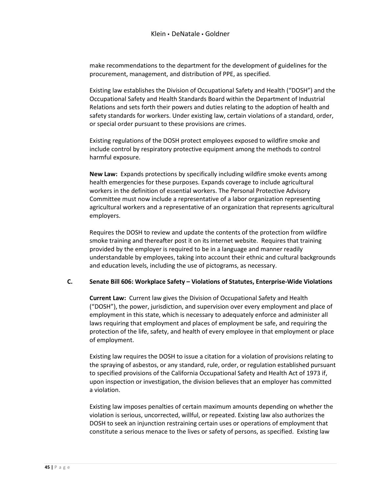make recommendations to the department for the development of guidelines for the procurement, management, and distribution of PPE, as specified.

Existing law establishes the Division of Occupational Safety and Health ("DOSH") and the Occupational Safety and Health Standards Board within the Department of Industrial Relations and sets forth their powers and duties relating to the adoption of health and safety standards for workers. Under existing law, certain violations of a standard, order, or special order pursuant to these provisions are crimes.

Existing regulations of the DOSH protect employees exposed to wildfire smoke and include control by respiratory protective equipment among the methods to control harmful exposure.

<span id="page-45-0"></span>**New Law:** Expands protections by specifically including wildfire smoke events among health emergencies for these purposes. Expands coverage to include agricultural workers in the definition of essential workers. The Personal Protective Advisory Committee must now include a representative of a labor organization representing agricultural workers and a representative of an organization that represents agricultural employers.

Requires the DOSH to review and update the contents of the protection from wildfire smoke training and thereafter post it on its internet website. Requires that training provided by the employer is required to be in a language and manner readily understandable by employees, taking into account their ethnic and cultural backgrounds and education levels, including the use of pictograms, as necessary.

#### <span id="page-45-2"></span><span id="page-45-1"></span>**C. Senate Bill 606: Workplace Safety – Violations of Statutes, Enterprise-Wide Violations**

**Current Law:** Current law gives the Division of Occupational Safety and Health ("DOSH"), the power, jurisdiction, and supervision over every employment and place of employment in this state, which is necessary to adequately enforce and administer all laws requiring that employment and places of employment be safe, and requiring the protection of the life, safety, and health of every employee in that employment or place of employment.

Existing law requires the DOSH to issue a citation for a violation of provisions relating to the spraying of asbestos, or any standard, rule, order, or regulation established pursuant to specified provisions of the California Occupational Safety and Health Act of 1973 if, upon inspection or investigation, the division believes that an employer has committed a violation.

Existing law imposes penalties of certain maximum amounts depending on whether the violation is serious, uncorrected, willful, or repeated. Existing law also authorizes the DOSH to seek an injunction restraining certain uses or operations of employment that constitute a serious menace to the lives or safety of persons, as specified. Existing law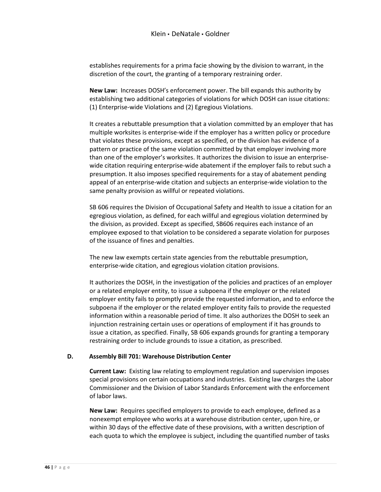establishes requirements for a prima facie showing by the division to warrant, in the discretion of the court, the granting of a temporary restraining order.

<span id="page-46-0"></span>**New Law:** Increases DOSH's enforcement power. The bill expands this authority by establishing two additional categories of violations for which DOSH can issue citations: (1) Enterprise-wide Violations and (2) Egregious Violations.

It creates a rebuttable presumption that a violation committed by an employer that has multiple worksites is enterprise-wide if the employer has a written policy or procedure that violates these provisions, except as specified, or the division has evidence of a pattern or practice of the same violation committed by that employer involving more than one of the employer's worksites. It authorizes the division to issue an enterprisewide citation requiring enterprise-wide abatement if the employer fails to rebut such a presumption. It also imposes specified requirements for a stay of abatement pending appeal of an enterprise-wide citation and subjects an enterprise-wide violation to the same penalty provision as willful or repeated violations.

SB 606 requires the Division of Occupational Safety and Health to issue a citation for an egregious violation, as defined, for each willful and egregious violation determined by the division, as provided. Except as specified, SB606 requires each instance of an employee exposed to that violation to be considered a separate violation for purposes of the issuance of fines and penalties.

The new law exempts certain state agencies from the rebuttable presumption, enterprise-wide citation, and egregious violation citation provisions.

It authorizes the DOSH, in the investigation of the policies and practices of an employer or a related employer entity, to issue a subpoena if the employer or the related employer entity fails to promptly provide the requested information, and to enforce the subpoena if the employer or the related employer entity fails to provide the requested information within a reasonable period of time. It also authorizes the DOSH to seek an injunction restraining certain uses or operations of employment if it has grounds to issue a citation, as specified. Finally, SB 606 expands grounds for granting a temporary restraining order to include grounds to issue a citation, as prescribed.

#### <span id="page-46-2"></span>**D. Assembly Bill 701: Warehouse Distribution Center**

<span id="page-46-1"></span>**Current Law:** Existing law relating to employment regulation and supervision imposes special provisions on certain occupations and industries. Existing law charges the Labor Commissioner and the Division of Labor Standards Enforcement with the enforcement of labor laws.

<span id="page-46-3"></span>**New Law:** Requires specified employers to provide to each employee, defined as a nonexempt employee who works at a warehouse distribution center, upon hire, or within 30 days of the effective date of these provisions, with a written description of each quota to which the employee is subject, including the quantified number of tasks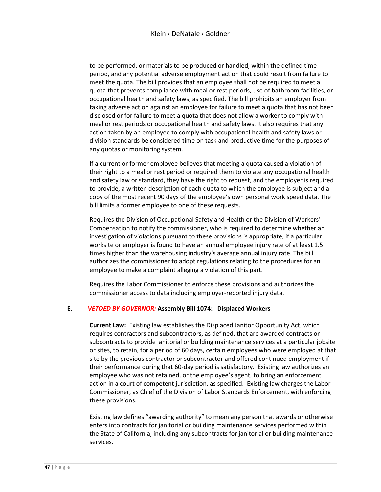to be performed, or materials to be produced or handled, within the defined time period, and any potential adverse employment action that could result from failure to meet the quota. The bill provides that an employee shall not be required to meet a quota that prevents compliance with meal or rest periods, use of bathroom facilities, or occupational health and safety laws, as specified. The bill prohibits an employer from taking adverse action against an employee for failure to meet a quota that has not been disclosed or for failure to meet a quota that does not allow a worker to comply with meal or rest periods or occupational health and safety laws. It also requires that any action taken by an employee to comply with occupational health and safety laws or division standards be considered time on task and productive time for the purposes of any quotas or monitoring system.

If a current or former employee believes that meeting a quota caused a violation of their right to a meal or rest period or required them to violate any occupational health and safety law or standard, they have the right to request, and the employer is required to provide, a written description of each quota to which the employee is subject and a copy of the most recent 90 days of the employee's own personal work speed data. The bill limits a former employee to one of these requests.

Requires the Division of Occupational Safety and Health or the Division of Workers' Compensation to notify the commissioner, who is required to determine whether an investigation of violations pursuant to these provisions is appropriate, if a particular worksite or employer is found to have an annual employee injury rate of at least 1.5 times higher than the warehousing industry's average annual injury rate. The bill authorizes the commissioner to adopt regulations relating to the procedures for an employee to make a complaint alleging a violation of this part.

Requires the Labor Commissioner to enforce these provisions and authorizes the commissioner access to data including employer-reported injury data.

#### <span id="page-47-1"></span>**E.** *VETOED BY GOVERNOR:* **Assembly Bill 1074: Displaced Workers**

<span id="page-47-0"></span>**Current Law:** Existing law establishes the Displaced Janitor Opportunity Act, which requires contractors and subcontractors, as defined, that are awarded contracts or subcontracts to provide janitorial or building maintenance services at a particular jobsite or sites, to retain, for a period of 60 days, certain employees who were employed at that site by the previous contractor or subcontractor and offered continued employment if their performance during that 60-day period is satisfactory. Existing law authorizes an employee who was not retained, or the employee's agent, to bring an enforcement action in a court of competent jurisdiction, as specified. Existing law charges the Labor Commissioner, as Chief of the Division of Labor Standards Enforcement, with enforcing these provisions.

Existing law defines "awarding authority" to mean any person that awards or otherwise enters into contracts for janitorial or building maintenance services performed within the State of California, including any subcontracts for janitorial or building maintenance services.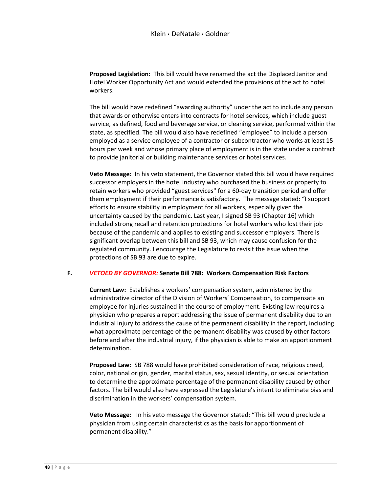<span id="page-48-0"></span>**Proposed Legislation:** This bill would have renamed the act the Displaced Janitor and Hotel Worker Opportunity Act and would extended the provisions of the act to hotel workers.

The bill would have redefined "awarding authority" under the act to include any person that awards or otherwise enters into contracts for hotel services, which include guest service, as defined, food and beverage service, or cleaning service, performed within the state, as specified. The bill would also have redefined "employee" to include a person employed as a service employee of a contractor or subcontractor who works at least 15 hours per week and whose primary place of employment is in the state under a contract to provide janitorial or building maintenance services or hotel services.

<span id="page-48-1"></span>**Veto Message:** In his veto statement, the Governor stated this bill would have required successor employers in the hotel industry who purchased the business or property to retain workers who provided "guest services" for a 60-day transition period and offer them employment if their performance is satisfactory. The message stated: "I support efforts to ensure stability in employment for all workers, especially given the uncertainty caused by the pandemic. Last year, I signed SB 93 (Chapter 16) which included strong recall and retention protections for hotel workers who lost their job because of the pandemic and applies to existing and successor employers. There is significant overlap between this bill and SB 93, which may cause confusion for the regulated community. I encourage the Legislature to revisit the issue when the protections of SB 93 are due to expire.

#### <span id="page-48-3"></span><span id="page-48-2"></span>**F.** *VETOED BY GOVERNOR:* **Senate Bill 788: Workers Compensation Risk Factors**

**Current Law:** Establishes a workers' compensation system, administered by the administrative director of the Division of Workers' Compensation, to compensate an employee for injuries sustained in the course of employment. Existing law requires a physician who prepares a report addressing the issue of permanent disability due to an industrial injury to address the cause of the permanent disability in the report, including what approximate percentage of the permanent disability was caused by other factors before and after the industrial injury, if the physician is able to make an apportionment determination.

<span id="page-48-4"></span>**Proposed Law:** SB 788 would have prohibited consideration of race, religious creed, color, national origin, gender, marital status, sex, sexual identity, or sexual orientation to determine the approximate percentage of the permanent disability caused by other factors. The bill would also have expressed the Legislature's intent to eliminate bias and discrimination in the workers' compensation system.

<span id="page-48-5"></span>**Veto Message:** In his veto message the Governor stated: "This bill would preclude a physician from using certain characteristics as the basis for apportionment of permanent disability."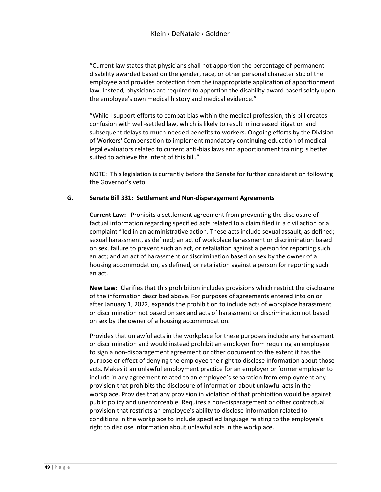"Current law states that physicians shall not apportion the percentage of permanent disability awarded based on the gender, race, or other personal characteristic of the employee and provides protection from the inappropriate application of apportionment law. Instead, physicians are required to apportion the disability award based solely upon the employee's own medical history and medical evidence."

"While I support efforts to combat bias within the medical profession, this bill creates confusion with well-settled law, which is likely to result in increased litigation and subsequent delays to much-needed benefits to workers. Ongoing efforts by the Division of Workers' Compensation to implement mandatory continuing education of medicallegal evaluators related to current anti-bias laws and apportionment training is better suited to achieve the intent of this bill."

NOTE: This legislation is currently before the Senate for further consideration following the Governor's veto.

#### <span id="page-49-1"></span><span id="page-49-0"></span>**G. Senate Bill 331: Settlement and Non-disparagement Agreements**

**Current Law:** Prohibits a settlement agreement from preventing the disclosure of factual information regarding specified acts related to a claim filed in a civil action or a complaint filed in an administrative action. These acts include sexual assault, as defined; sexual harassment, as defined; an act of workplace harassment or discrimination based on sex, failure to prevent such an act, or retaliation against a person for reporting such an act; and an act of harassment or discrimination based on sex by the owner of a housing accommodation, as defined, or retaliation against a person for reporting such an act.

<span id="page-49-2"></span>**New Law:** Clarifies that this prohibition includes provisions which restrict the disclosure of the information described above. For purposes of agreements entered into on or after January 1, 2022, expands the prohibition to include acts of workplace harassment or discrimination not based on sex and acts of harassment or discrimination not based on sex by the owner of a housing accommodation.

Provides that unlawful acts in the workplace for these purposes include any harassment or discrimination and would instead prohibit an employer from requiring an employee to sign a non-disparagement agreement or other document to the extent it has the purpose or effect of denying the employee the right to disclose information about those acts. Makes it an unlawful employment practice for an employer or former employer to include in any agreement related to an employee's separation from employment any provision that prohibits the disclosure of information about unlawful acts in the workplace. Provides that any provision in violation of that prohibition would be against public policy and unenforceable. Requires a non-disparagement or other contractual provision that restricts an employee's ability to disclose information related to conditions in the workplace to include specified language relating to the employee's right to disclose information about unlawful acts in the workplace.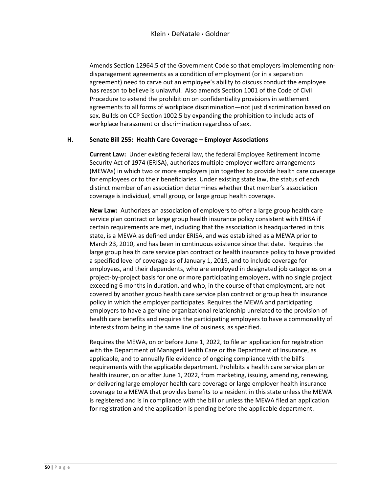Amends [Section 12964.5](https://leginfo.legislature.ca.gov/faces/codes_displaySection.xhtml?sectionNum=12964.5.&lawCode=GOV) of the Government Code so that employers implementing nondisparagement agreements as a condition of employment (or in a separation agreement) need to carve out an employee's ability to discuss conduct the employee has reason to believe is unlawful. Also amends [Section 1001](https://leginfo.legislature.ca.gov/faces/codes_displaySection.xhtml?sectionNum=1001.&lawCode=CCP) of the Code of Civil Procedure to extend the prohibition on confidentiality provisions in settlement agreements to all forms of workplace discrimination—not just discrimination based on sex. Builds on CCP [Section 1002.5](https://leginfo.legislature.ca.gov/faces/billCompareClient.xhtml?bill_id=201920200AB749&showamends=false) by expanding the prohibition to include acts of workplace harassment or discrimination regardless of sex.

#### <span id="page-50-1"></span><span id="page-50-0"></span>**H. Senate Bill 255: Health Care Coverage – Employer Associations**

**Current Law:** Under existing federal law, the federal Employee Retirement Income Security Act of 1974 (ERISA), authorizes multiple employer welfare arrangements (MEWAs) in which two or more employers join together to provide health care coverage for employees or to their beneficiaries. Under existing state law, the status of each distinct member of an association determines whether that member's association coverage is individual, small group, or large group health coverage.

<span id="page-50-2"></span>**New Law:** Authorizes an association of employers to offer a large group health care service plan contract or large group health insurance policy consistent with ERISA if certain requirements are met, including that the association is headquartered in this state, is a MEWA as defined under ERISA, and was established as a MEWA prior to March 23, 2010, and has been in continuous existence since that date. Requires the large group health care service plan contract or health insurance policy to have provided a specified level of coverage as of January 1, 2019, and to include coverage for employees, and their dependents, who are employed in designated job categories on a project-by-project basis for one or more participating employers, with no single project exceeding 6 months in duration, and who, in the course of that employment, are not covered by another group health care service plan contract or group health insurance policy in which the employer participates. Requires the MEWA and participating employers to have a genuine organizational relationship unrelated to the provision of health care benefits and requires the participating employers to have a commonality of interests from being in the same line of business, as specified.

Requires the MEWA, on or before June 1, 2022, to file an application for registration with the Department of Managed Health Care or the Department of Insurance, as applicable, and to annually file evidence of ongoing compliance with the bill's requirements with the applicable department. Prohibits a health care service plan or health insurer, on or after June 1, 2022, from marketing, issuing, amending, renewing, or delivering large employer health care coverage or large employer health insurance coverage to a MEWA that provides benefits to a resident in this state unless the MEWA is registered and is in compliance with the bill or unless the MEWA filed an application for registration and the application is pending before the applicable department.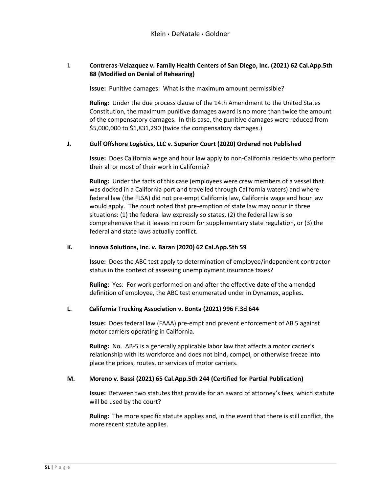#### <span id="page-51-2"></span><span id="page-51-1"></span><span id="page-51-0"></span>**I. Contreras-Velazquez v. Family Health Centers of San Diego, Inc. (2021) 62 Cal.App.5th 88 (Modified on Denial of Rehearing)**

**Issue:** Punitive damages: What is the maximum amount permissible?

**Ruling:** Under the due process clause of the 14th Amendment to the United States Constitution, the maximum punitive damages award is no more than twice the amount of the compensatory damages. In this case, the punitive damages were reduced from \$5,000,000 to \$1,831,290 (twice the compensatory damages.)

#### <span id="page-51-5"></span><span id="page-51-4"></span>**J. Gulf Offshore Logistics, LLC v. Superior Court (2020) Ordered not Published**

<span id="page-51-3"></span>**Issue:** Does California wage and hour law apply to non-California residents who perform their all or most of their work in California?

**Ruling:** Under the facts of this case (employees were crew members of a vessel that was docked in a California port and travelled through California waters) and where federal law (the FLSA) did not pre-empt California law, California wage and hour law would apply. The court noted that pre-emption of state law may occur in three situations: (1) the federal law expressly so states, (2) the federal law is so comprehensive that it leaves no room for supplementary state regulation, or (3) the federal and state laws actually conflict.

#### <span id="page-51-7"></span>**K. Innova Solutions, Inc. v. Baran (2020) 62 Cal.App.5th 59**

<span id="page-51-6"></span>**Issue:** Does the ABC test apply to determination of employee/independent contractor status in the context of assessing unemployment insurance taxes?

**Ruling:** Yes: For work performed on and after the effective date of the amended definition of employee, the ABC test enumerated under in Dynamex, applies.

#### <span id="page-51-10"></span><span id="page-51-8"></span>**L. California Trucking Association v. Bonta (2021) 996 F.3d 644**

<span id="page-51-9"></span>**Issue:** Does federal law (FAAA) pre-empt and prevent enforcement of AB 5 against motor carriers operating in California.

**Ruling:** No. AB-5 is a generally applicable labor law that affects a motor carrier's relationship with its workforce and does not bind, compel, or otherwise freeze into place the prices, routes, or services of motor carriers.

#### <span id="page-51-14"></span><span id="page-51-13"></span><span id="page-51-11"></span>**M. Moreno v. Bassi (2021) 65 Cal.App.5th 244 (Certified for Partial Publication)**

<span id="page-51-12"></span>**Issue:** Between two statutes that provide for an award of attorney's fees, which statute will be used by the court?

**Ruling:** The more specific statute applies and, in the event that there is still conflict, the more recent statute applies.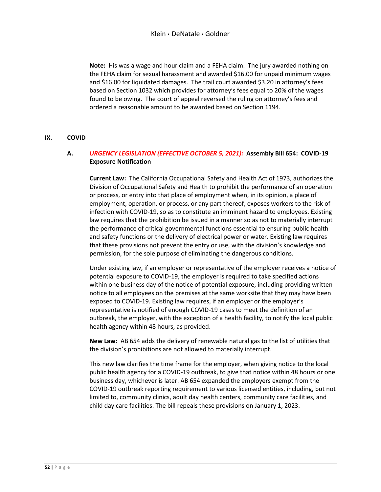<span id="page-52-0"></span>**Note:** His was a wage and hour claim and a FEHA claim. The jury awarded nothing on the FEHA claim for sexual harassment and awarded \$16.00 for unpaid minimum wages and \$16.00 for liquidated damages. The trail court awarded \$3.20 in attorney's fees based on Section 1032 which provides for attorney's fees equal to 20% of the wages found to be owing. The court of appeal reversed the ruling on attorney's fees and ordered a reasonable amount to be awarded based on Section 1194.

#### <span id="page-52-2"></span><span id="page-52-1"></span>**IX. COVID**

#### <span id="page-52-3"></span>**A.** *URGENCY LEGISLATION (EFFECTIVE OCTOBER 5, 2021):* **Assembly Bill 654: COVID-19 Exposure Notification**

**Current Law:** The California Occupational Safety and Health Act of 1973, authorizes the Division of Occupational Safety and Health to prohibit the performance of an operation or process, or entry into that place of employment when, in its opinion, a place of employment, operation, or process, or any part thereof, exposes workers to the risk of infection with COVID-19, so as to constitute an imminent hazard to employees. Existing law requires that the prohibition be issued in a manner so as not to materially interrupt the performance of critical governmental functions essential to ensuring public health and safety functions or the delivery of electrical power or water. Existing law requires that these provisions not prevent the entry or use, with the division's knowledge and permission, for the sole purpose of eliminating the dangerous conditions.

Under existing law, if an employer or representative of the employer receives a notice of potential exposure to COVID-19, the employer is required to take specified actions within one business day of the notice of potential exposure, including providing written notice to all employees on the premises at the same worksite that they may have been exposed to COVID-19. Existing law requires, if an employer or the employer's representative is notified of enough COVID-19 cases to meet the definition of an outbreak, the employer, with the exception of a health facility, to notify the local public health agency within 48 hours, as provided.

<span id="page-52-4"></span>**New Law:** AB 654 adds the delivery of renewable natural gas to the list of utilities that the division's prohibitions are not allowed to materially interrupt.

This new law clarifies the time frame for the employer, when giving notice to the local public health agency for a COVID-19 outbreak, to give that notice within 48 hours or one business day, whichever is later. AB 654 expanded the employers exempt from the COVID-19 outbreak reporting requirement to various licensed entities, including, but not limited to, community clinics, adult day health centers, community care facilities, and child day care facilities. The bill repeals these provisions on January 1, 2023.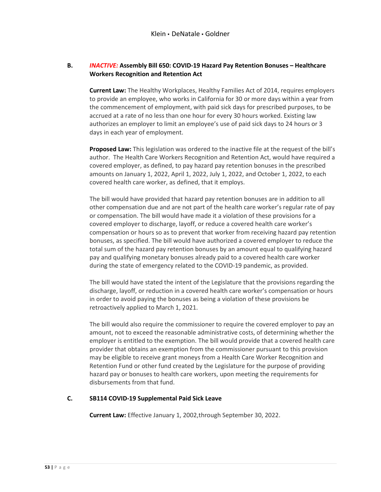#### <span id="page-53-1"></span><span id="page-53-0"></span>**B.** *INACTIVE:* **Assembly Bill 650: COVID-19 Hazard Pay Retention Bonuses – Healthcare Workers Recognition and Retention Act**

**Current Law:** The Healthy Workplaces, Healthy Families Act of 2014, requires employers to provide an employee, who works in California for 30 or more days within a year from the commencement of employment, with paid sick days for prescribed purposes, to be accrued at a rate of no less than one hour for every 30 hours worked. Existing law authorizes an employer to limit an employee's use of paid sick days to 24 hours or 3 days in each year of employment.

<span id="page-53-2"></span>**Proposed Law:** This legislation was ordered to the inactive file at the request of the bill's author. The Health Care Workers Recognition and Retention Act, would have required a covered employer, as defined, to pay hazard pay retention bonuses in the prescribed amounts on January 1, 2022, April 1, 2022, July 1, 2022, and October 1, 2022, to each covered health care worker, as defined, that it employs.

The bill would have provided that hazard pay retention bonuses are in addition to all other compensation due and are not part of the health care worker's regular rate of pay or compensation. The bill would have made it a violation of these provisions for a covered employer to discharge, layoff, or reduce a covered health care worker's compensation or hours so as to prevent that worker from receiving hazard pay retention bonuses, as specified. The bill would have authorized a covered employer to reduce the total sum of the hazard pay retention bonuses by an amount equal to qualifying hazard pay and qualifying monetary bonuses already paid to a covered health care worker during the state of emergency related to the COVID-19 pandemic, as provided.

The bill would have stated the intent of the Legislature that the provisions regarding the discharge, layoff, or reduction in a covered health care worker's compensation or hours in order to avoid paying the bonuses as being a violation of these provisions be retroactively applied to March 1, 2021.

The bill would also require the commissioner to require the covered employer to pay an amount, not to exceed the reasonable administrative costs, of determining whether the employer is entitled to the exemption. The bill would provide that a covered health care provider that obtains an exemption from the commissioner pursuant to this provision may be eligible to receive grant moneys from a Health Care Worker Recognition and Retention Fund or other fund created by the Legislature for the purpose of providing hazard pay or bonuses to health care workers, upon meeting the requirements for disbursements from that fund.

#### <span id="page-53-4"></span><span id="page-53-3"></span>**C. SB114 COVID-19 Supplemental Paid Sick Leave**

**Current Law:** Effective January 1, 2002,through September 30, 2022.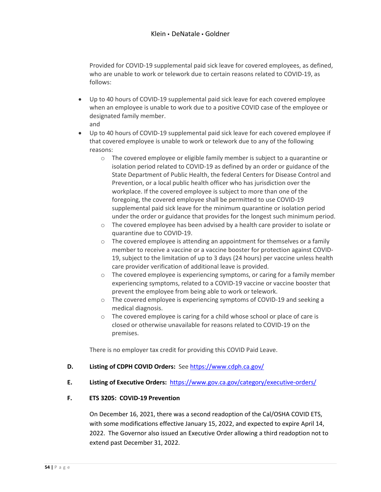Provided for COVID-19 supplemental paid sick leave for covered employees, as defined, who are unable to work or telework due to certain reasons related to COVID-19, as follows:

- Up to 40 hours of COVID-19 supplemental paid sick leave for each covered employee when an employee is unable to work due to a positive COVID case of the employee or designated family member.
	- and
- Up to 40 hours of COVID-19 supplemental paid sick leave for each covered employee if that covered employee is unable to work or telework due to any of the following reasons:
	- o The covered employee or eligible family member is subject to a quarantine or isolation period related to COVID-19 as defined by an order or guidance of the State Department of Public Health, the federal Centers for Disease Control and Prevention, or a local public health officer who has jurisdiction over the workplace. If the covered employee is subject to more than one of the foregoing, the covered employee shall be permitted to use COVID-19 supplemental paid sick leave for the minimum quarantine or isolation period under the order or guidance that provides for the longest such minimum period.
	- o The covered employee has been advised by a health care provider to isolate or quarantine due to COVID-19.
	- o The covered employee is attending an appointment for themselves or a family member to receive a vaccine or a vaccine booster for protection against COVID-19, subject to the limitation of up to 3 days (24 hours) per vaccine unless health care provider verification of additional leave is provided.
	- $\circ$  The covered employee is experiencing symptoms, or caring for a family member experiencing symptoms, related to a COVID-19 vaccine or vaccine booster that prevent the employee from being able to work or telework.
	- o The covered employee is experiencing symptoms of COVID-19 and seeking a medical diagnosis.
	- o The covered employee is caring for a child whose school or place of care is closed or otherwise unavailable for reasons related to COVID-19 on the premises.

There is no employer tax credit for providing this COVID Paid Leave.

- <span id="page-54-0"></span>**D. Listing of CDPH COVID Orders:** Se[e https://www.cdph.ca.gov/](https://www.cdph.ca.gov/)
- <span id="page-54-2"></span><span id="page-54-1"></span>**E. Listing of Executive Orders:** <https://www.gov.ca.gov/category/executive-orders/>

#### **F. ETS 3205: COVID-19 Prevention**

On December 16, 2021, there was a second readoption of the Cal/OSHA COVID ETS, with some modifications effective January 15, 2022, and expected to expire April 14, 2022. The Governor also issued an Executive Order allowing a third readoption not to extend past December 31, 2022.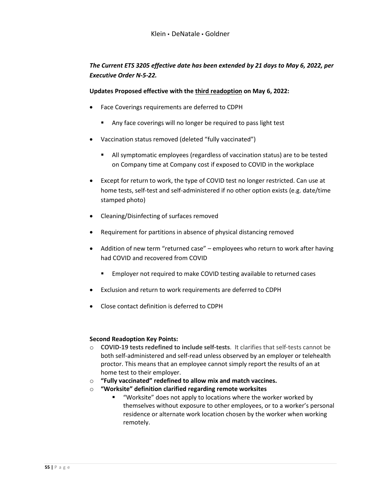#### *The Current ETS 3205 effective date has been extended by 21 days to May 6, 2022, per Executive Order N-5-22.*

#### **Updates Proposed effective with the third readoption on May 6, 2022:**

- Face Coverings requirements are deferred to CDPH
	- **Any face coverings will no longer be required to pass light test**
- Vaccination status removed (deleted "fully vaccinated")
	- All symptomatic employees (regardless of vaccination status) are to be tested on Company time at Company cost if exposed to COVID in the workplace
- Except for return to work, the type of COVID test no longer restricted. Can use at home tests, self-test and self-administered if no other option exists (e.g. date/time stamped photo)
- Cleaning/Disinfecting of surfaces removed
- Requirement for partitions in absence of physical distancing removed
- Addition of new term "returned case" employees who return to work after having had COVID and recovered from COVID
	- Employer not required to make COVID testing available to returned cases
- Exclusion and return to work requirements are deferred to CDPH
- Close contact definition is deferred to CDPH

#### <span id="page-55-0"></span>**Second Readoption Key Points:**

- o **COVID-19 tests redefined to include self-tests**. It clarifies that self-tests cannot be both self-administered and self-read unless observed by an employer or telehealth proctor. This means that an employee cannot simply report the results of an at home test to their employer.
- o **"Fully vaccinated" redefined to allow mix and match vaccines.**
- o **"Worksite" definition clarified regarding remote worksites**
	- "Worksite" does not apply to locations where the worker worked by themselves without exposure to other employees, or to a worker's personal residence or alternate work location chosen by the worker when working remotely.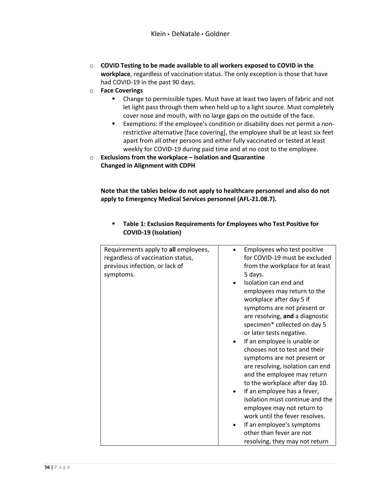- o **COVID Testing to be made available to all workers exposed to COVID in the workplace**, regardless of vaccination status. The only exception is those that have had COVID-19 in the past 90 days.
- o **Face Coverings**
	- **EXP** Change to permissible types. Must have at least two layers of fabric and not let light pass through them when held up to a light source. Must completely cover nose and mouth, with no large gaps on the outside of the face.
	- Exemptions: If the employee's condition or disability does not permit a nonrestrictive alternative [face covering], the employee shall be at least six feet apart from all other persons and either fully vaccinated or tested at least weekly for COVID-19 during paid time and at no cost to the employee.
- o **Exclusions from the workplace – Isolation and Quarantine Changed in Alignment with CDPH**

**Note that the tables below do not apply to healthcare personnel and also do not apply to Emergency Medical Services personnel (AFL-21.08.7).**

| Requirements apply to all employees,<br>regardless of vaccination status,<br>previous infection, or lack of<br>symptoms. | Employees who test positive<br>for COVID-19 must be excluded<br>from the workplace for at least<br>5 days.<br>Isolation can end and<br>employees may return to the<br>workplace after day 5 if<br>symptoms are not present or<br>are resolving, and a diagnostic<br>specimen* collected on day 5<br>or later tests negative.<br>If an employee is unable or<br>chooses not to test and their<br>symptoms are not present or<br>are resolving, isolation can end<br>and the employee may return<br>to the workplace after day 10.<br>If an employee has a fever,<br>$\bullet$<br>isolation must continue and the<br>employee may not return to<br>work until the fever resolves.<br>If an employee's symptoms<br>other than fever are not<br>resolving, they may not return |
|--------------------------------------------------------------------------------------------------------------------------|----------------------------------------------------------------------------------------------------------------------------------------------------------------------------------------------------------------------------------------------------------------------------------------------------------------------------------------------------------------------------------------------------------------------------------------------------------------------------------------------------------------------------------------------------------------------------------------------------------------------------------------------------------------------------------------------------------------------------------------------------------------------------|

 **Table 1: Exclusion Requirements for Employees who Test Positive for COVID-19 (Isolation)**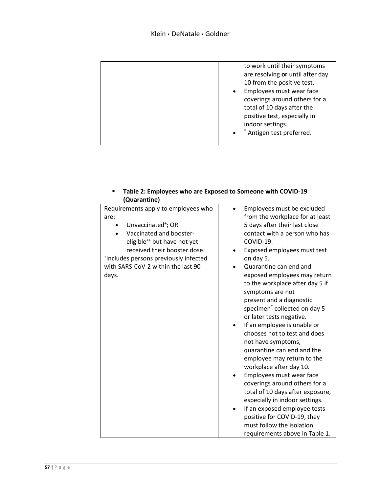| to work until their symptoms          |
|---------------------------------------|
| are resolving or until after day      |
| 10 from the positive test.            |
| Employees must wear face<br>$\bullet$ |
| coverings around others for a         |
| total of 10 days after the            |
| positive test, especially in          |
| indoor settings.                      |
| * Antigen test preferred.             |
|                                       |

 **Table 2: Employees who are Exposed to Someone with COVID-19 (Quarantine)**

| 1999191111119                                                                                                                                                                                                                                                               |                                                                                                                                                                                                                                                                                                                                                                                                                                                                                                                                                                                                                                                                                                                                                                                                                                                            |
|-----------------------------------------------------------------------------------------------------------------------------------------------------------------------------------------------------------------------------------------------------------------------------|------------------------------------------------------------------------------------------------------------------------------------------------------------------------------------------------------------------------------------------------------------------------------------------------------------------------------------------------------------------------------------------------------------------------------------------------------------------------------------------------------------------------------------------------------------------------------------------------------------------------------------------------------------------------------------------------------------------------------------------------------------------------------------------------------------------------------------------------------------|
| Requirements apply to employees who<br>are:<br>Unvaccinated <sup>+</sup> ; OR<br>Vaccinated and booster-<br>eligible <sup>++</sup> but have not yet<br>received their booster dose.<br>*Includes persons previously infected<br>with SARS-CoV-2 within the last 90<br>days. | Employees must be excluded<br>from the workplace for at least<br>5 days after their last close<br>contact with a person who has<br>COVID-19.<br>Exposed employees must test<br>on day 5.<br>Quarantine can end and<br>exposed employees may return<br>to the workplace after day 5 if<br>symptoms are not<br>present and a diagnostic<br>specimen <sup>*</sup> collected on day 5<br>or later tests negative.<br>If an employee is unable or<br>chooses not to test and does<br>not have symptoms,<br>quarantine can end and the<br>employee may return to the<br>workplace after day 10.<br>Employees must wear face<br>coverings around others for a<br>total of 10 days after exposure,<br>especially in indoor settings.<br>If an exposed employee tests<br>positive for COVID-19, they<br>must follow the isolation<br>requirements above in Table 1. |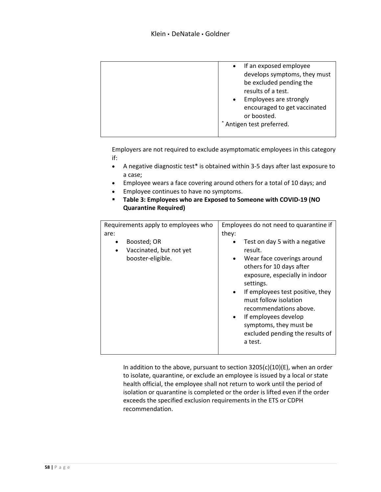| If an exposed employee       |
|------------------------------|
| develops symptoms, they must |
| be excluded pending the      |
| results of a test.           |
| Employees are strongly       |
| encouraged to get vaccinated |
| or boosted.                  |
| Antigen test preferred.      |
|                              |

Employers are not required to exclude asymptomatic employees in this category if:

- A negative diagnostic test\* is obtained within 3-5 days after last exposure to a case;
- Employee wears a face covering around others for a total of 10 days; and
- Employee continues to have no symptoms.
- **Table 3: Employees who are Exposed to Someone with COVID-19 (NO Quarantine Required)**

| Requirements apply to employees who                                                   | Employees do not need to quarantine if                                                                                                                                                                                                                                                                                                                                                       |
|---------------------------------------------------------------------------------------|----------------------------------------------------------------------------------------------------------------------------------------------------------------------------------------------------------------------------------------------------------------------------------------------------------------------------------------------------------------------------------------------|
| are:                                                                                  | they:                                                                                                                                                                                                                                                                                                                                                                                        |
| Boosted; OR<br>$\bullet$<br>Vaccinated, but not yet<br>$\bullet$<br>booster-eligible. | Test on day 5 with a negative<br>$\bullet$<br>result.<br>Wear face coverings around<br>$\bullet$<br>others for 10 days after<br>exposure, especially in indoor<br>settings.<br>If employees test positive, they<br>$\bullet$<br>must follow isolation<br>recommendations above.<br>If employees develop<br>$\bullet$<br>symptoms, they must be<br>excluded pending the results of<br>a test. |

In addition to the above, pursuant to section  $3205(c)(10)(E)$ , when an order to isolate, quarantine, or exclude an employee is issued by a local or state health official, the employee shall not return to work until the period of isolation or quarantine is completed or the order is lifted even if the order exceeds the specified exclusion requirements in the ETS or CDPH recommendation.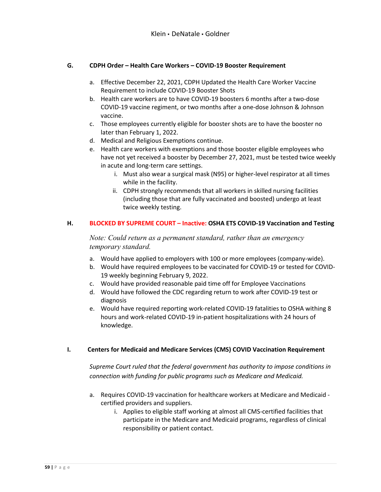#### <span id="page-59-0"></span>**G. CDPH Order – Health Care Workers – COVID-19 Booster Requirement**

- a. Effective December 22, 2021, CDPH Updated the Health Care Worker Vaccine Requirement to include COVID-19 Booster Shots
- b. Health care workers are to have COVID-19 boosters 6 months after a two-dose COVID-19 vaccine regiment, or two months after a one-dose Johnson & Johnson vaccine.
- c. Those employees currently eligible for booster shots are to have the booster no later than February 1, 2022.
- d. Medical and Religious Exemptions continue.
- e. Health care workers with exemptions and those booster eligible employees who have not yet received a booster by December 27, 2021, must be tested twice weekly in acute and long-term care settings.
	- i. Must also wear a surgical mask (N95) or higher-level respirator at all times while in the facility.
	- ii. CDPH strongly recommends that all workers in skilled nursing facilities (including those that are fully vaccinated and boosted) undergo at least twice weekly testing.

#### <span id="page-59-1"></span>**H. BLOCKED BY SUPREME COURT – Inactive: OSHA ETS COVID-19 Vaccination and Testing**

*Note: Could return as a permanent standard, rather than an emergency temporary standard.*

- a. Would have applied to employers with 100 or more employees (company-wide).
- b. Would have required employees to be vaccinated for COVID-19 or tested for COVID-19 weekly beginning February 9, 2022.
- c. Would have provided reasonable paid time off for Employee Vaccinations
- d. Would have followed the CDC regarding return to work after COVID-19 test or diagnosis
- e. Would have required reporting work-related COVID-19 fatalities to OSHA withing 8 hours and work-related COVID-19 in-patient hospitalizations with 24 hours of knowledge.

#### **I. Centers for Medicaid and Medicare Services (CMS) COVID Vaccination Requirement**

<span id="page-59-2"></span>*Supreme Court ruled that the federal government has authority to impose conditions in connection with funding for public programs such as Medicare and Medicaid.*

- a. Requires COVID-19 vaccination for healthcare workers at Medicare and Medicaid certified providers and suppliers.
	- i. Applies to eligible staff working at almost all CMS-certified facilities that participate in the Medicare and Medicaid programs, regardless of clinical responsibility or patient contact.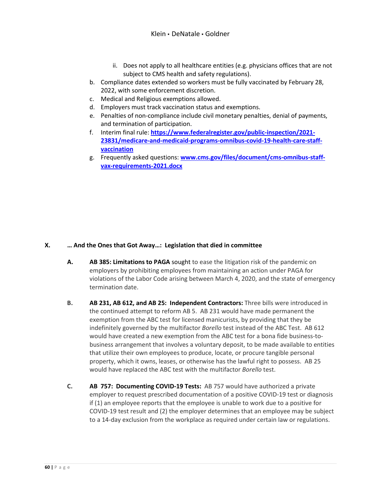- ii. Does not apply to all healthcare entities (e.g. physicians offices that are not subject to CMS health and safety regulations).
- b. Compliance dates extended so workers must be fully vaccinated by February 28, 2022, with some enforcement discretion.
- c. Medical and Religious exemptions allowed.
- d. Employers must track vaccination status and exemptions.
- e. Penalties of non-compliance include civil monetary penalties, denial of payments, and termination of participation.
- f. Interim final rule: **[https://www.federalregister.gov/public-inspection/2021-](https://www.federalregister.gov/public-inspection/2021-23831/medicare-and-medicaid-programs-omnibus-covid-19-health-care-staff-vaccination) [23831/medicare-and-medicaid-programs-omnibus-covid-19-health-care-staff](https://www.federalregister.gov/public-inspection/2021-23831/medicare-and-medicaid-programs-omnibus-covid-19-health-care-staff-vaccination)[vaccination](https://www.federalregister.gov/public-inspection/2021-23831/medicare-and-medicaid-programs-omnibus-covid-19-health-care-staff-vaccination)**
- g. Frequently asked questions: **[www.cms.gov/files/document/cms-omnibus-staff](http://www.cms.gov/files/document/cms-omnibus-staff-vax-requirements-2021.docx)[vax-requirements-2021.docx](http://www.cms.gov/files/document/cms-omnibus-staff-vax-requirements-2021.docx)**

#### <span id="page-60-1"></span><span id="page-60-0"></span>**X. … And the Ones that Got Away…: Legislation that died in committee**

- **A. [AB 385:](https://leginfo.legislature.ca.gov/faces/billNavClient.xhtml?bill_id=202120220AB385) Limitations to PAGA** sought to ease the litigation risk of the pandemic on employers by prohibiting employees from maintaining an action under PAGA for violations of the Labor Code arising between March 4, 2020, and the state of emergency termination date.
- <span id="page-60-2"></span>**B. AB 231, AB 612, and AB 25: Independent Contractors:** Three bills were introduced in the continued attempt to reform AB 5. AB 231 would have made permanent the exemption from the ABC test for licensed manicurists, by providing that they be indefinitely governed by the multifactor *Borello* test instead of the ABC Test. AB 612 would have created a new exemption from the ABC test for a bona fide business-tobusiness arrangement that involves a voluntary deposit, to be made available to entities that utilize their own employees to produce, locate, or procure tangible personal property, which it owns, leases, or otherwise has the lawful right to possess. AB 25 would have replaced the ABC test with the multifactor *Borello* test.
- <span id="page-60-3"></span>**C. AB 757: Documenting COVID-19 Tests:**AB 757 would have authorized a private employer to request prescribed documentation of a positive COVID-19 test or diagnosis if (1) an employee reports that the employee is unable to work due to a positive for COVID-19 test result and (2) the employer determines that an employee may be subject to a 14-day exclusion from the workplace as required under certain law or regulations.